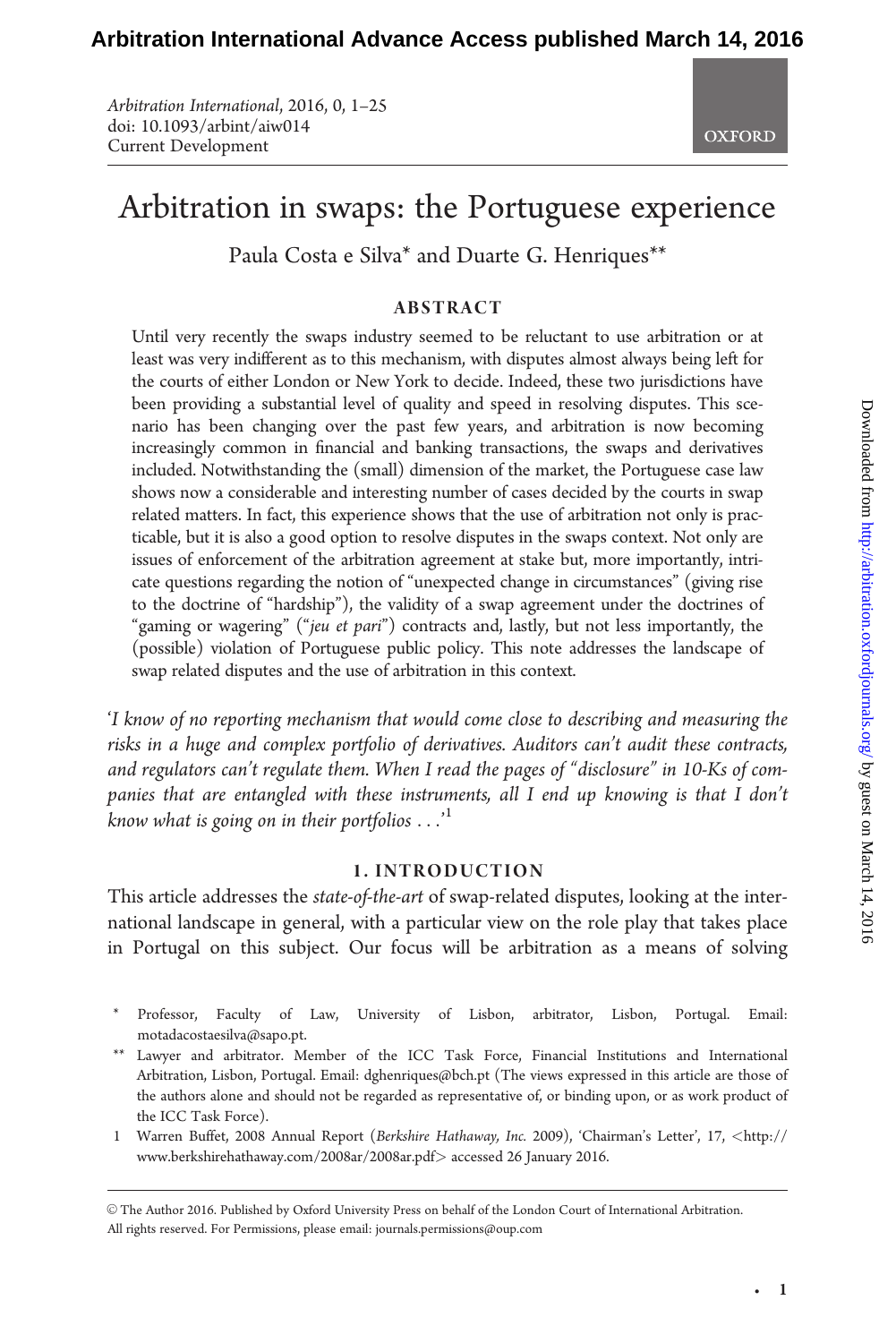Arbitration International, 2016, 0, 1–25 doi: 10.1093/arbint/aiw014 Current Development



# Arbitration in swaps: the Portuguese experience

Paula Costa e Silva\* and Duarte G. Henriques\*\*

#### ABSTRACT

Until very recently the swaps industry seemed to be reluctant to use arbitration or at least was very indifferent as to this mechanism, with disputes almost always being left for the courts of either London or New York to decide. Indeed, these two jurisdictions have been providing a substantial level of quality and speed in resolving disputes. This scenario has been changing over the past few years, and arbitration is now becoming increasingly common in financial and banking transactions, the swaps and derivatives included. Notwithstanding the (small) dimension of the market, the Portuguese case law shows now a considerable and interesting number of cases decided by the courts in swap related matters. In fact, this experience shows that the use of arbitration not only is practicable, but it is also a good option to resolve disputes in the swaps context. Not only are issues of enforcement of the arbitration agreement at stake but, more importantly, intricate questions regarding the notion of "unexpected change in circumstances" (giving rise to the doctrine of "hardship"), the validity of a swap agreement under the doctrines of "gaming or wagering" ("jeu et pari") contracts and, lastly, but not less importantly, the (possible) violation of Portuguese public policy. This note addresses the landscape of swap related disputes and the use of arbitration in this context.

'I know of no reporting mechanism that would come close to describing and measuring the risks in a huge and complex portfolio of derivatives. Auditors can't audit these contracts, and regulators can't regulate them. When I read the pages of "disclosure" in 10-Ks of companies that are entangled with these instruments, all I end up knowing is that I don't know what is going on in their portfolios  $\dots'$ 

# 1. INTRODUCTION

This article addresses the *state-of-the-art* of swap-related disputes, looking at the international landscape in general, with a particular view on the role play that takes place in Portugal on this subject. Our focus will be arbitration as a means of solving

- \* Professor, Faculty of Law, University of Lisbon, arbitrator, Lisbon, Portugal. Email: motadacostaesilva@sapo.pt.
- \*\* Lawyer and arbitrator. Member of the ICC Task Force, Financial Institutions and International Arbitration, Lisbon, Portugal. Email: dghenriques@bch.pt (The views expressed in this article are those of the authors alone and should not be regarded as representative of, or binding upon, or as work product of the ICC Task Force).
- 1 Warren Buffet, 2008 Annual Report (Berkshire Hathaway, Inc. 2009), 'Chairman's Letter', 17, <[http://](http://www.berkshirehathaway.com/2008ar/2008ar.pdf) [www.berkshirehathaway.com/2008ar/2008ar.pdf](http://www.berkshirehathaway.com/2008ar/2008ar.pdf)> accessed 26 January 2016.

V<sup>C</sup> The Author 2016. Published by Oxford University Press on behalf of the London Court of International Arbitration. All rights reserved. For Permissions, please email: journals.permissions@oup.com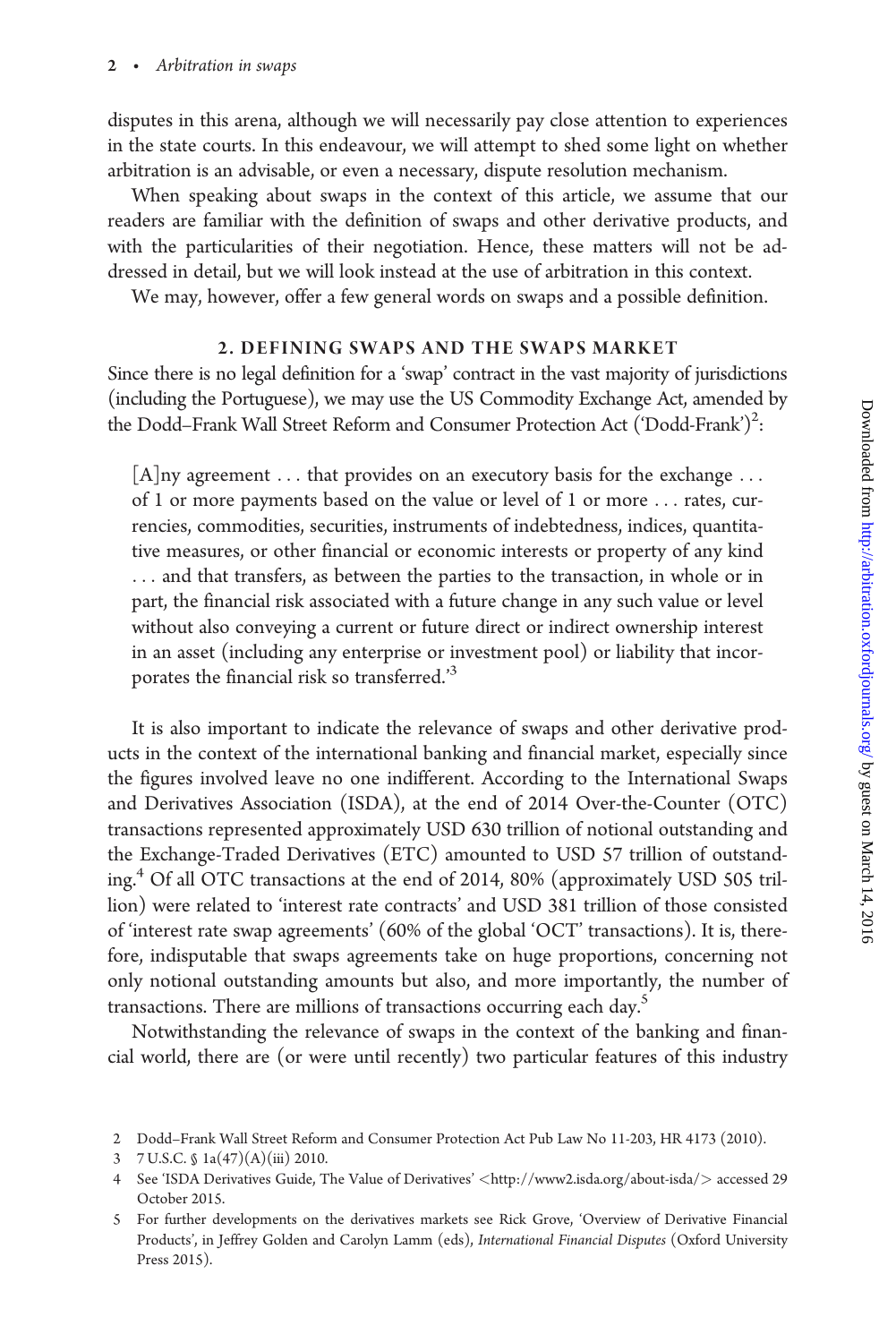disputes in this arena, although we will necessarily pay close attention to experiences in the state courts. In this endeavour, we will attempt to shed some light on whether arbitration is an advisable, or even a necessary, dispute resolution mechanism.

When speaking about swaps in the context of this article, we assume that our readers are familiar with the definition of swaps and other derivative products, and with the particularities of their negotiation. Hence, these matters will not be addressed in detail, but we will look instead at the use of arbitration in this context.

We may, however, offer a few general words on swaps and a possible definition.

# 2. DEFINING SWAPS AND THE SWAPS MARKET

Since there is no legal definition for a 'swap' contract in the vast majority of jurisdictions (including the Portuguese), we may use the US Commodity Exchange Act, amended by the Dodd–Frank Wall Street Reform and Consumer Protection Act ('Dodd-Frank')<sup>2</sup>:

 $[A]$ ny agreement ... that provides on an executory basis for the exchange ... of 1 or more payments based on the value or level of 1 or more ... rates, currencies, commodities, securities, instruments of indebtedness, indices, quantitative measures, or other financial or economic interests or property of any kind ... and that transfers, as between the parties to the transaction, in whole or in part, the financial risk associated with a future change in any such value or level without also conveying a current or future direct or indirect ownership interest in an asset (including any enterprise or investment pool) or liability that incorporates the financial risk so transferred.<sup>35</sup>

It is also important to indicate the relevance of swaps and other derivative products in the context of the international banking and financial market, especially since the figures involved leave no one indifferent. According to the International Swaps and Derivatives Association (ISDA), at the end of 2014 Over-the-Counter (OTC) transactions represented approximately USD 630 trillion of notional outstanding and the Exchange-Traded Derivatives (ETC) amounted to USD 57 trillion of outstanding.4 Of all OTC transactions at the end of 2014, 80% (approximately USD 505 trillion) were related to 'interest rate contracts' and USD 381 trillion of those consisted of 'interest rate swap agreements' (60% of the global 'OCT' transactions). It is, therefore, indisputable that swaps agreements take on huge proportions, concerning not only notional outstanding amounts but also, and more importantly, the number of transactions. There are millions of transactions occurring each day.<sup>5</sup>

Notwithstanding the relevance of swaps in the context of the banking and financial world, there are (or were until recently) two particular features of this industry

- 2 Dodd–Frank Wall Street Reform and Consumer Protection Act Pub Law No 11-203, HR 4173 (2010).
- 3 7 U.S.C. § 1a(47)(A)(iii) 2010.

<sup>4</sup> See 'ISDA Derivatives Guide, The Value of Derivatives' <<http://www2.isda.org/about-isda/>> accessed 29 October 2015.

<sup>5</sup> For further developments on the derivatives markets see Rick Grove, 'Overview of Derivative Financial Products', in Jeffrey Golden and Carolyn Lamm (eds), International Financial Disputes (Oxford University Press 2015).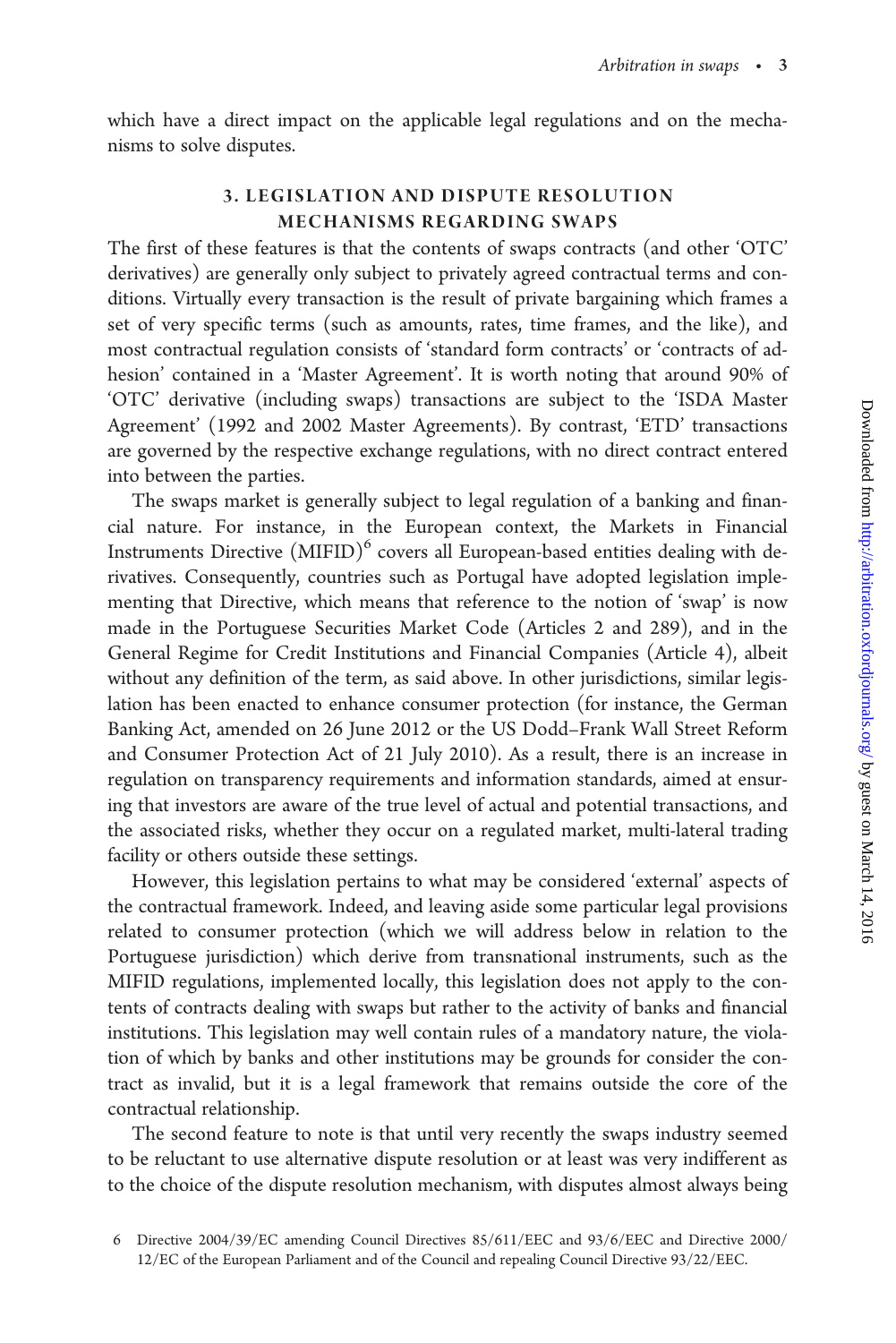which have a direct impact on the applicable legal regulations and on the mechanisms to solve disputes.

# 3. LEGISLATION AND DISPUTE RESOLUTION MECHANISMS REGARDING SWAPS

The first of these features is that the contents of swaps contracts (and other 'OTC' derivatives) are generally only subject to privately agreed contractual terms and conditions. Virtually every transaction is the result of private bargaining which frames a set of very specific terms (such as amounts, rates, time frames, and the like), and most contractual regulation consists of 'standard form contracts' or 'contracts of adhesion' contained in a 'Master Agreement'. It is worth noting that around 90% of 'OTC' derivative (including swaps) transactions are subject to the 'ISDA Master Agreement' (1992 and 2002 Master Agreements). By contrast, 'ETD' transactions are governed by the respective exchange regulations, with no direct contract entered into between the parties.

The swaps market is generally subject to legal regulation of a banking and financial nature. For instance, in the European context, the Markets in Financial Instruments Directive  $(MIFID)^6$  covers all European-based entities dealing with derivatives. Consequently, countries such as Portugal have adopted legislation implementing that Directive, which means that reference to the notion of 'swap' is now made in the Portuguese Securities Market Code (Articles 2 and 289), and in the General Regime for Credit Institutions and Financial Companies (Article 4), albeit without any definition of the term, as said above. In other jurisdictions, similar legislation has been enacted to enhance consumer protection (for instance, the German Banking Act, amended on 26 June 2012 or the US Dodd–Frank Wall Street Reform and Consumer Protection Act of 21 July 2010). As a result, there is an increase in regulation on transparency requirements and information standards, aimed at ensuring that investors are aware of the true level of actual and potential transactions, and the associated risks, whether they occur on a regulated market, multi-lateral trading facility or others outside these settings.

However, this legislation pertains to what may be considered 'external' aspects of the contractual framework. Indeed, and leaving aside some particular legal provisions related to consumer protection (which we will address below in relation to the Portuguese jurisdiction) which derive from transnational instruments, such as the MIFID regulations, implemented locally, this legislation does not apply to the contents of contracts dealing with swaps but rather to the activity of banks and financial institutions. This legislation may well contain rules of a mandatory nature, the violation of which by banks and other institutions may be grounds for consider the contract as invalid, but it is a legal framework that remains outside the core of the contractual relationship.

The second feature to note is that until very recently the swaps industry seemed to be reluctant to use alternative dispute resolution or at least was very indifferent as to the choice of the dispute resolution mechanism, with disputes almost always being

<sup>6</sup> Directive 2004/39/EC amending Council Directives 85/611/EEC and 93/6/EEC and Directive 2000/ 12/EC of the European Parliament and of the Council and repealing Council Directive 93/22/EEC.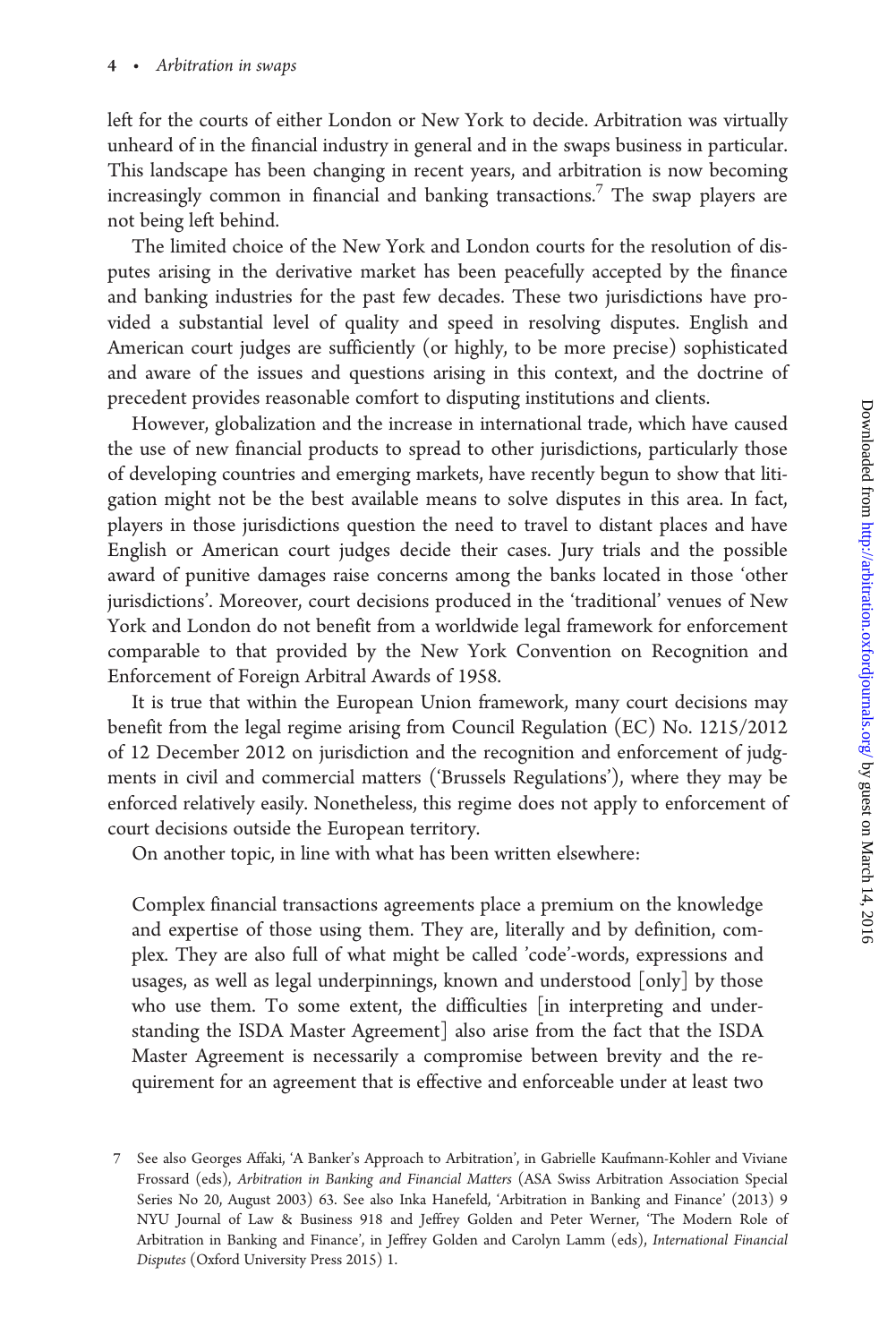left for the courts of either London or New York to decide. Arbitration was virtually unheard of in the financial industry in general and in the swaps business in particular. This landscape has been changing in recent years, and arbitration is now becoming increasingly common in financial and banking transactions.<sup>7</sup> The swap players are not being left behind.

The limited choice of the New York and London courts for the resolution of disputes arising in the derivative market has been peacefully accepted by the finance and banking industries for the past few decades. These two jurisdictions have provided a substantial level of quality and speed in resolving disputes. English and American court judges are sufficiently (or highly, to be more precise) sophisticated and aware of the issues and questions arising in this context, and the doctrine of precedent provides reasonable comfort to disputing institutions and clients.

However, globalization and the increase in international trade, which have caused the use of new financial products to spread to other jurisdictions, particularly those of developing countries and emerging markets, have recently begun to show that litigation might not be the best available means to solve disputes in this area. In fact, players in those jurisdictions question the need to travel to distant places and have English or American court judges decide their cases. Jury trials and the possible award of punitive damages raise concerns among the banks located in those 'other jurisdictions'. Moreover, court decisions produced in the 'traditional' venues of New York and London do not benefit from a worldwide legal framework for enforcement comparable to that provided by the New York Convention on Recognition and Enforcement of Foreign Arbitral Awards of 1958.

It is true that within the European Union framework, many court decisions may benefit from the legal regime arising from Council Regulation (EC) No. 1215/2012 of 12 December 2012 on jurisdiction and the recognition and enforcement of judgments in civil and commercial matters ('Brussels Regulations'), where they may be enforced relatively easily. Nonetheless, this regime does not apply to enforcement of court decisions outside the European territory.

On another topic, in line with what has been written elsewhere:

Complex financial transactions agreements place a premium on the knowledge and expertise of those using them. They are, literally and by definition, complex. They are also full of what might be called 'code'-words, expressions and usages, as well as legal underpinnings, known and understood [only] by those who use them. To some extent, the difficulties [in interpreting and understanding the ISDA Master Agreement] also arise from the fact that the ISDA Master Agreement is necessarily a compromise between brevity and the requirement for an agreement that is effective and enforceable under at least two

<sup>7</sup> See also Georges Affaki, 'A Banker's Approach to Arbitration', in Gabrielle Kaufmann-Kohler and Viviane Frossard (eds), Arbitration in Banking and Financial Matters (ASA Swiss Arbitration Association Special Series No 20, August 2003) 63. See also Inka Hanefeld, 'Arbitration in Banking and Finance' (2013) 9 NYU Journal of Law & Business 918 and Jeffrey Golden and Peter Werner, 'The Modern Role of Arbitration in Banking and Finance', in Jeffrey Golden and Carolyn Lamm (eds), International Financial Disputes (Oxford University Press 2015) 1.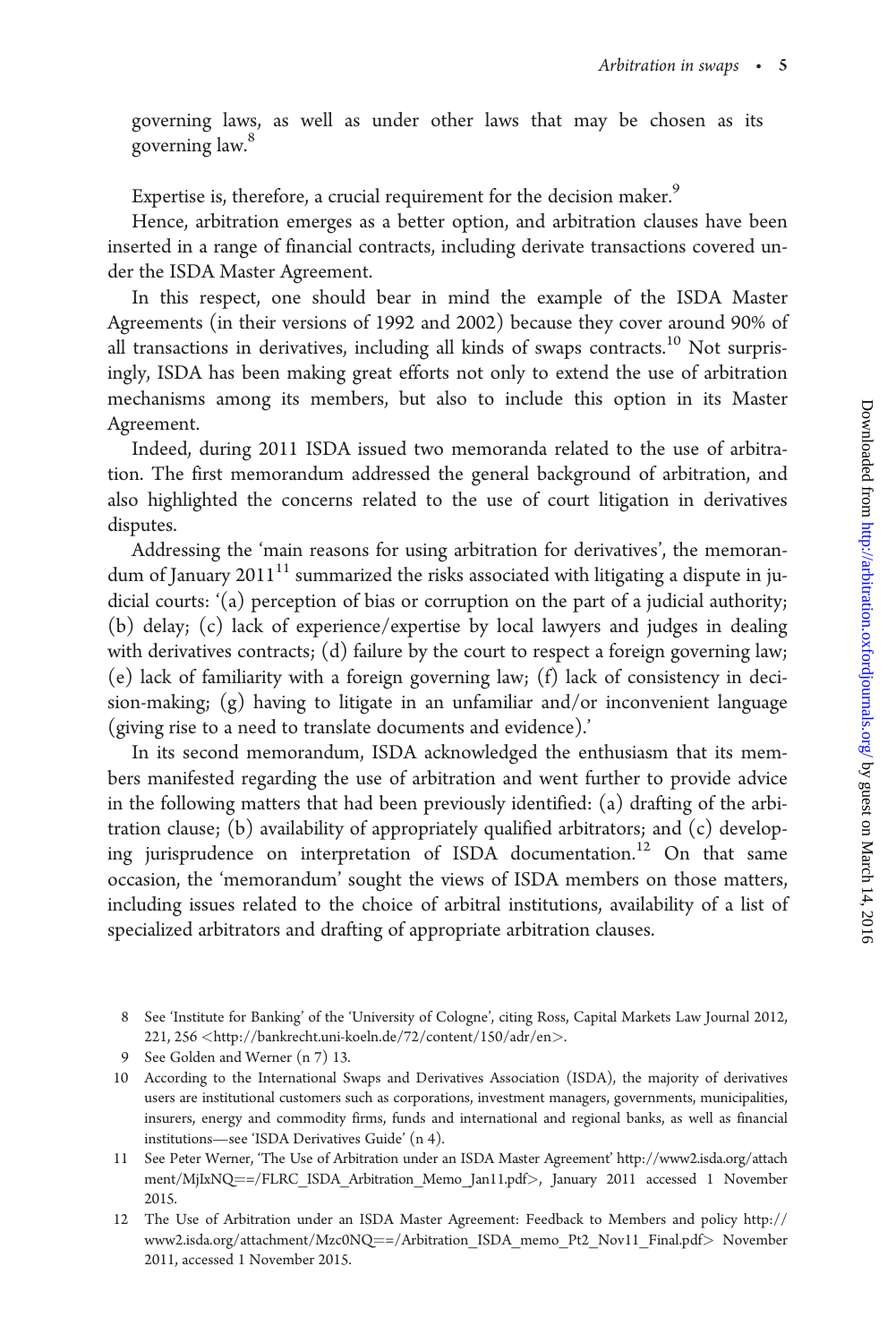governing laws, as well as under other laws that may be chosen as its governing law.<sup>8</sup>

Expertise is, therefore, a crucial requirement for the decision maker.<sup>9</sup>

Hence, arbitration emerges as a better option, and arbitration clauses have been inserted in a range of financial contracts, including derivate transactions covered under the ISDA Master Agreement.

In this respect, one should bear in mind the example of the ISDA Master Agreements (in their versions of 1992 and 2002) because they cover around 90% of all transactions in derivatives, including all kinds of swaps contracts.<sup>10</sup> Not surprisingly, ISDA has been making great efforts not only to extend the use of arbitration mechanisms among its members, but also to include this option in its Master Agreement.

Indeed, during 2011 ISDA issued two memoranda related to the use of arbitration. The first memorandum addressed the general background of arbitration, and also highlighted the concerns related to the use of court litigation in derivatives disputes.

Addressing the 'main reasons for using arbitration for derivatives', the memorandum of January 2011<sup>11</sup> summarized the risks associated with litigating a dispute in judicial courts: '(a) perception of bias or corruption on the part of a judicial authority; (b) delay; (c) lack of experience/expertise by local lawyers and judges in dealing with derivatives contracts; (d) failure by the court to respect a foreign governing law; (e) lack of familiarity with a foreign governing law; (f) lack of consistency in decision-making; (g) having to litigate in an unfamiliar and/or inconvenient language (giving rise to a need to translate documents and evidence).'

In its second memorandum, ISDA acknowledged the enthusiasm that its members manifested regarding the use of arbitration and went further to provide advice in the following matters that had been previously identified: (a) drafting of the arbitration clause; (b) availability of appropriately qualified arbitrators; and (c) developing jurisprudence on interpretation of ISDA documentation.<sup>12</sup> On that same occasion, the 'memorandum' sought the views of ISDA members on those matters, including issues related to the choice of arbitral institutions, availability of a list of specialized arbitrators and drafting of appropriate arbitration clauses.

<sup>8</sup> See 'Institute for Banking' of the 'University of Cologne', citing Ross, Capital Markets Law Journal 2012, 221, 256 <<http://bankrecht.uni-koeln.de/72/content/150/adr/en>>.

<sup>9</sup> See Golden and Werner (n 7) 13.

<sup>10</sup> According to the International Swaps and Derivatives Association (ISDA), the majority of derivatives users are institutional customers such as corporations, investment managers, governments, municipalities, insurers, energy and commodity firms, funds and international and regional banks, as well as financial institutions—see 'ISDA Derivatives Guide' (n 4).

<sup>11</sup> See Peter Werner, 'The Use of Arbitration under an ISDA Master Agreement' [http://www2.isda.org/attach](http://www2.isda.org/attachment/MjIxNQ==/FLRC_ISDA_Arbitration_Memo_Jan11.pdf) [ment/MjIxNQ](http://www2.isda.org/attachment/MjIxNQ==/FLRC_ISDA_Arbitration_Memo_Jan11.pdf)=[=/FLRC\\_ISDA\\_Arbitration\\_Memo\\_Jan11.pdf](http://www2.isda.org/attachment/MjIxNQ==/FLRC_ISDA_Arbitration_Memo_Jan11.pdf)>, January 2011 accessed 1 November 2015.

<sup>12</sup> The Use of Arbitration under an ISDA Master Agreement: Feedback to Members and policy [http://](http://www2.isda.org/attachment/Mzc0NQ==/Arbitration_ISDA_memo_Pt2_Nov11_Final.pdf) [www2.isda.org/attachment/Mzc0NQ](http://www2.isda.org/attachment/Mzc0NQ==/Arbitration_ISDA_memo_Pt2_Nov11_Final.pdf)=[=/Arbitration\\_ISDA\\_memo\\_Pt2\\_Nov11\\_Final.pdf](http://www2.isda.org/attachment/Mzc0NQ==/Arbitration_ISDA_memo_Pt2_Nov11_Final.pdf)>\_November 2011, accessed 1 November 2015.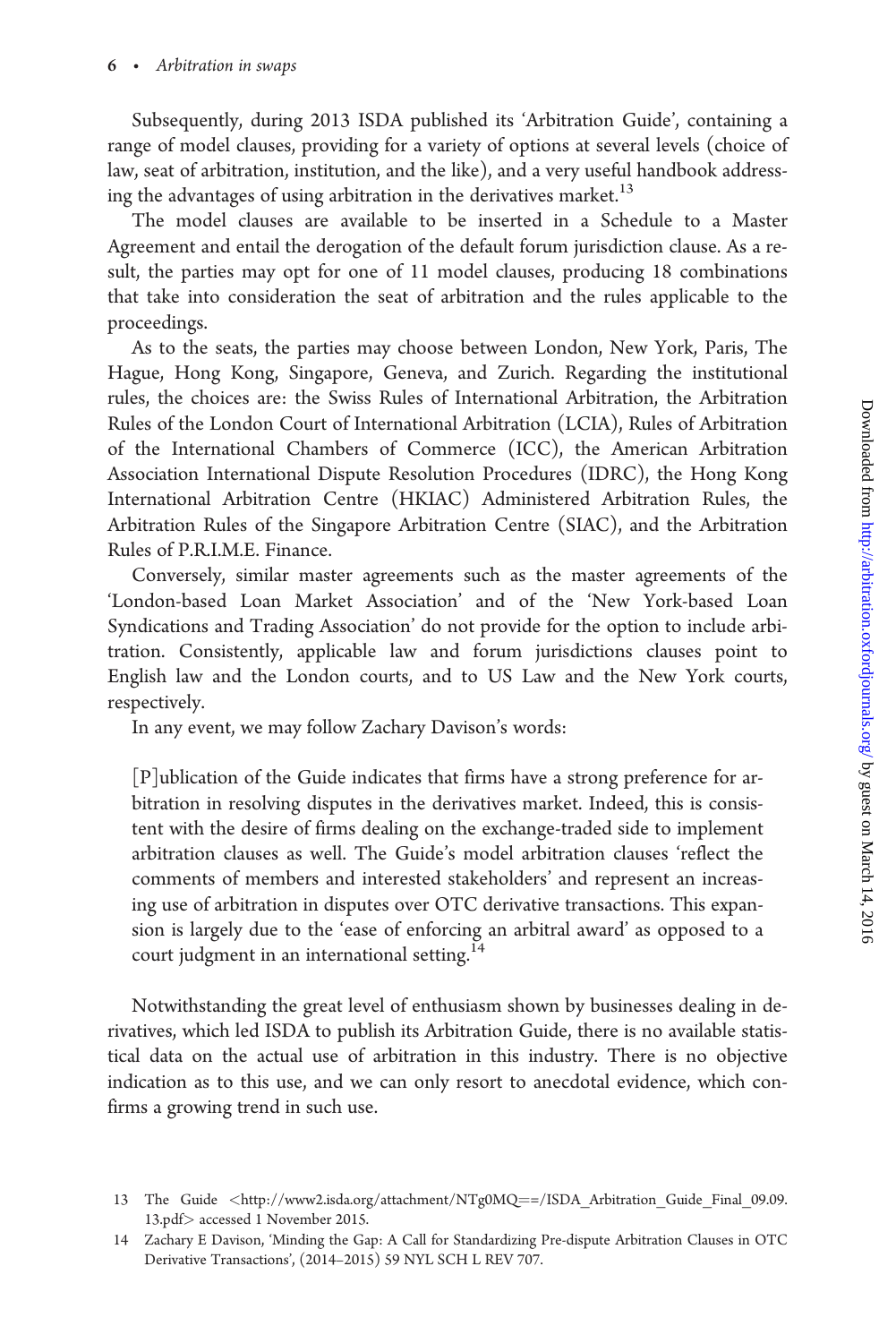Subsequently, during 2013 ISDA published its 'Arbitration Guide', containing a range of model clauses, providing for a variety of options at several levels (choice of law, seat of arbitration, institution, and the like), and a very useful handbook addressing the advantages of using arbitration in the derivatives market.<sup>13</sup>

The model clauses are available to be inserted in a Schedule to a Master Agreement and entail the derogation of the default forum jurisdiction clause. As a result, the parties may opt for one of 11 model clauses, producing 18 combinations that take into consideration the seat of arbitration and the rules applicable to the proceedings.

As to the seats, the parties may choose between London, New York, Paris, The Hague, Hong Kong, Singapore, Geneva, and Zurich. Regarding the institutional rules, the choices are: the Swiss Rules of International Arbitration, the Arbitration Rules of the London Court of International Arbitration (LCIA), Rules of Arbitration of the International Chambers of Commerce (ICC), the American Arbitration Association International Dispute Resolution Procedures (IDRC), the Hong Kong International Arbitration Centre (HKIAC) Administered Arbitration Rules, the Arbitration Rules of the Singapore Arbitration Centre (SIAC), and the Arbitration Rules of P.R.I.M.E. Finance.

Conversely, similar master agreements such as the master agreements of the 'London-based Loan Market Association' and of the 'New York-based Loan Syndications and Trading Association' do not provide for the option to include arbitration. Consistently, applicable law and forum jurisdictions clauses point to English law and the London courts, and to US Law and the New York courts, respectively.

In any event, we may follow Zachary Davison's words:

[P]ublication of the Guide indicates that firms have a strong preference for arbitration in resolving disputes in the derivatives market. Indeed, this is consistent with the desire of firms dealing on the exchange-traded side to implement arbitration clauses as well. The Guide's model arbitration clauses 'reflect the comments of members and interested stakeholders' and represent an increasing use of arbitration in disputes over OTC derivative transactions. This expansion is largely due to the 'ease of enforcing an arbitral award' as opposed to a court judgment in an international setting.<sup>14</sup>

Notwithstanding the great level of enthusiasm shown by businesses dealing in derivatives, which led ISDA to publish its Arbitration Guide, there is no available statistical data on the actual use of arbitration in this industry. There is no objective indication as to this use, and we can only resort to anecdotal evidence, which confirms a growing trend in such use.

<sup>13</sup> The Guide <[http://www2.isda.org/attachment/NTg0MQ](http://www2.isda.org/attachment/NTg0MQ==/ISDA_Arbitration_Guide_Final_09.09.13.pdf)=[=/ISDA\\_Arbitration\\_Guide\\_Final\\_09.09.](http://www2.isda.org/attachment/NTg0MQ==/ISDA_Arbitration_Guide_Final_09.09.13.pdf) [13.pdf](http://www2.isda.org/attachment/NTg0MQ==/ISDA_Arbitration_Guide_Final_09.09.13.pdf)> accessed 1 November 2015.

<sup>14</sup> Zachary E Davison, 'Minding the Gap: A Call for Standardizing Pre-dispute Arbitration Clauses in OTC Derivative Transactions', (2014–2015) 59 NYL SCH L REV 707.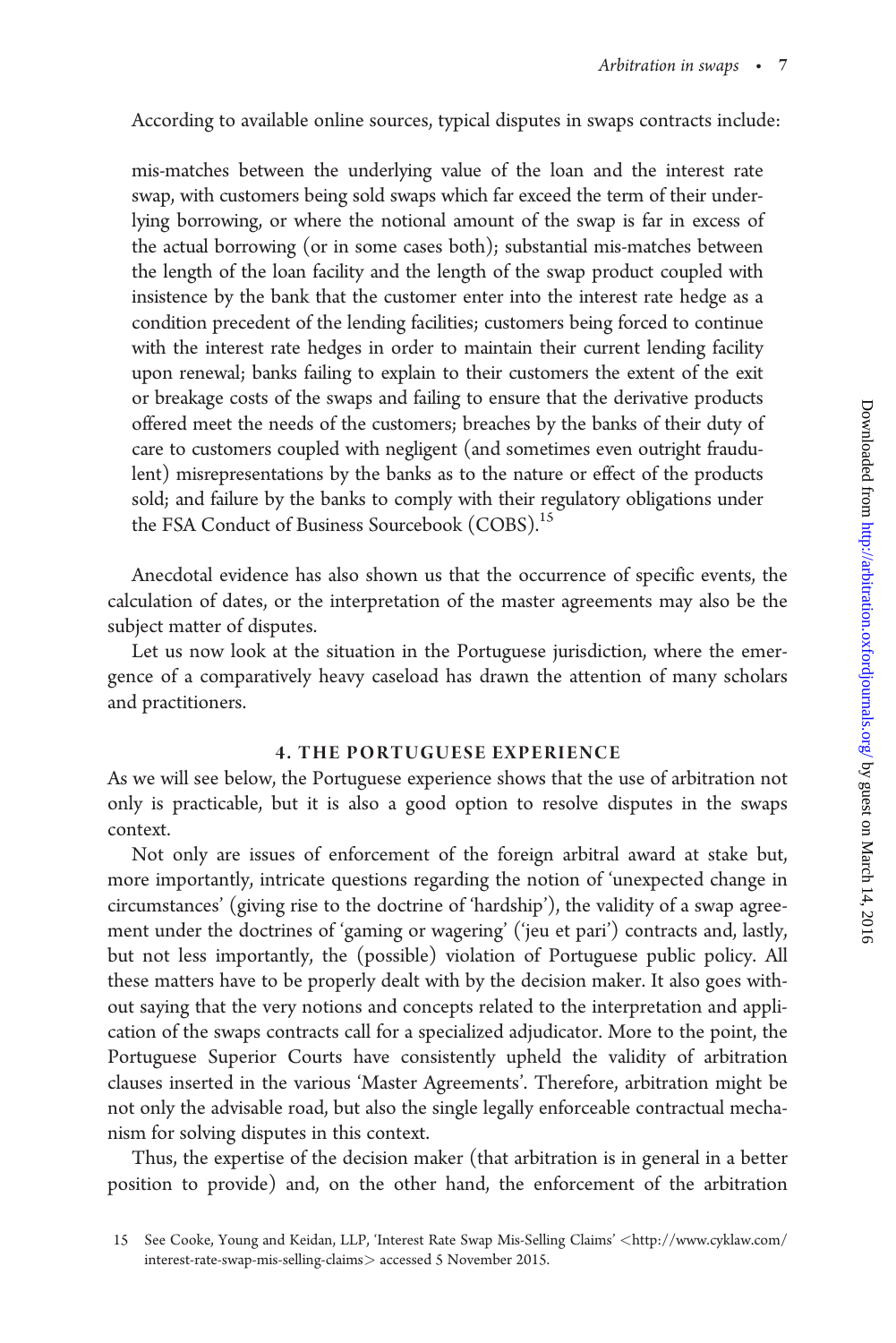According to available online sources, typical disputes in swaps contracts include:

mis-matches between the underlying value of the loan and the interest rate swap, with customers being sold swaps which far exceed the term of their underlying borrowing, or where the notional amount of the swap is far in excess of the actual borrowing (or in some cases both); substantial mis-matches between the length of the loan facility and the length of the swap product coupled with insistence by the bank that the customer enter into the interest rate hedge as a condition precedent of the lending facilities; customers being forced to continue with the interest rate hedges in order to maintain their current lending facility upon renewal; banks failing to explain to their customers the extent of the exit or breakage costs of the swaps and failing to ensure that the derivative products offered meet the needs of the customers; breaches by the banks of their duty of care to customers coupled with negligent (and sometimes even outright fraudulent) misrepresentations by the banks as to the nature or effect of the products sold; and failure by the banks to comply with their regulatory obligations under the FSA Conduct of Business Sourcebook (COBS).<sup>15</sup>

Anecdotal evidence has also shown us that the occurrence of specific events, the calculation of dates, or the interpretation of the master agreements may also be the subject matter of disputes.

Let us now look at the situation in the Portuguese jurisdiction, where the emergence of a comparatively heavy caseload has drawn the attention of many scholars and practitioners.

#### 4. THE PORTUGUESE EXPERIENCE

As we will see below, the Portuguese experience shows that the use of arbitration not only is practicable, but it is also a good option to resolve disputes in the swaps context.

Not only are issues of enforcement of the foreign arbitral award at stake but, more importantly, intricate questions regarding the notion of 'unexpected change in circumstances' (giving rise to the doctrine of 'hardship'), the validity of a swap agreement under the doctrines of 'gaming or wagering' ('jeu et pari') contracts and, lastly, but not less importantly, the (possible) violation of Portuguese public policy. All these matters have to be properly dealt with by the decision maker. It also goes without saying that the very notions and concepts related to the interpretation and application of the swaps contracts call for a specialized adjudicator. More to the point, the Portuguese Superior Courts have consistently upheld the validity of arbitration clauses inserted in the various 'Master Agreements'. Therefore, arbitration might be not only the advisable road, but also the single legally enforceable contractual mechanism for solving disputes in this context.

Thus, the expertise of the decision maker (that arbitration is in general in a better position to provide) and, on the other hand, the enforcement of the arbitration

<sup>15</sup> See Cooke, Young and Keidan, LLP, 'Interest Rate Swap Mis-Selling Claims' <[http://www.cyklaw.com/](http://www.cyklaw.com/interest-rate-swap-mis-selling-claims) [interest-rate-swap-mis-selling-claims](http://www.cyklaw.com/interest-rate-swap-mis-selling-claims)> accessed 5 November 2015.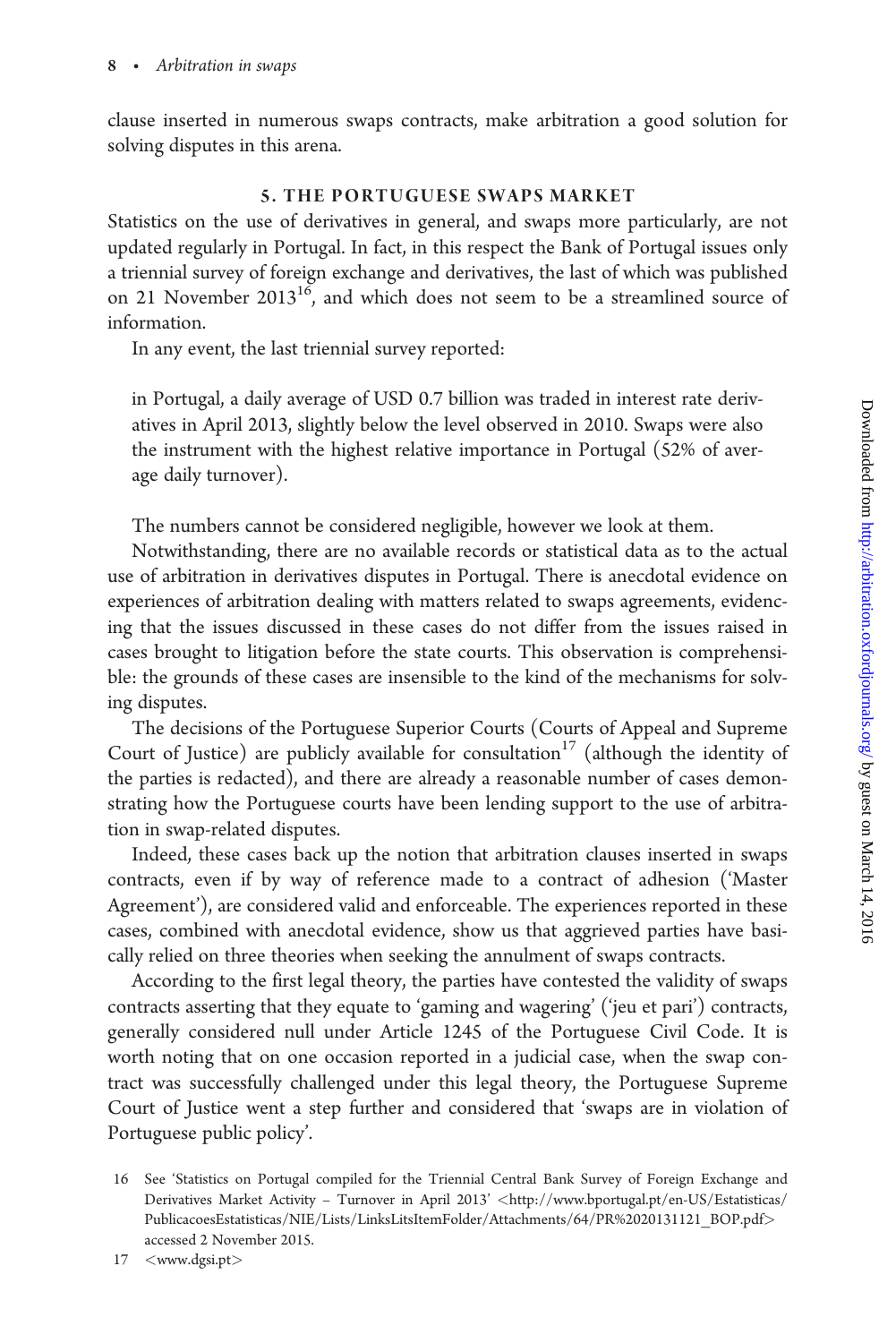clause inserted in numerous swaps contracts, make arbitration a good solution for solving disputes in this arena.

## 5. THE PORTUGUESE SWAPS MARKET

Statistics on the use of derivatives in general, and swaps more particularly, are not updated regularly in Portugal. In fact, in this respect the Bank of Portugal issues only a triennial survey of foreign exchange and derivatives, the last of which was published on 21 November 2013<sup>16</sup>, and which does not seem to be a streamlined source of information.

In any event, the last triennial survey reported:

in Portugal, a daily average of USD 0.7 billion was traded in interest rate derivatives in April 2013, slightly below the level observed in 2010. Swaps were also the instrument with the highest relative importance in Portugal (52% of average daily turnover).

The numbers cannot be considered negligible, however we look at them.

Notwithstanding, there are no available records or statistical data as to the actual use of arbitration in derivatives disputes in Portugal. There is anecdotal evidence on experiences of arbitration dealing with matters related to swaps agreements, evidencing that the issues discussed in these cases do not differ from the issues raised in cases brought to litigation before the state courts. This observation is comprehensible: the grounds of these cases are insensible to the kind of the mechanisms for solving disputes.

The decisions of the Portuguese Superior Courts (Courts of Appeal and Supreme Court of Justice) are publicly available for consultation<sup>17</sup> (although the identity of the parties is redacted), and there are already a reasonable number of cases demonstrating how the Portuguese courts have been lending support to the use of arbitration in swap-related disputes.

Indeed, these cases back up the notion that arbitration clauses inserted in swaps contracts, even if by way of reference made to a contract of adhesion ('Master Agreement'), are considered valid and enforceable. The experiences reported in these cases, combined with anecdotal evidence, show us that aggrieved parties have basically relied on three theories when seeking the annulment of swaps contracts.

According to the first legal theory, the parties have contested the validity of swaps contracts asserting that they equate to 'gaming and wagering' ('jeu et pari') contracts, generally considered null under Article 1245 of the Portuguese Civil Code. It is worth noting that on one occasion reported in a judicial case, when the swap contract was successfully challenged under this legal theory, the Portuguese Supreme Court of Justice went a step further and considered that 'swaps are in violation of Portuguese public policy'.

<sup>16</sup> See 'Statistics on Portugal compiled for the Triennial Central Bank Survey of Foreign Exchange and Derivatives Market Activity - Turnover in April 2013' <[http://www.bportugal.pt/en-US/Estatisticas/](http://www.bportugal.pt/en-US/Estatisticas/PublicacoesEstatisticas/NIE/Lists/LinksLitsItemFolder/Attachments/64/PR%2020131121_BOP.pdf) [PublicacoesEstatisticas/NIE/Lists/LinksLitsItemFolder/Attachments/64/PR%2020131121\\_BOP.pdf](http://www.bportugal.pt/en-US/Estatisticas/PublicacoesEstatisticas/NIE/Lists/LinksLitsItemFolder/Attachments/64/PR%2020131121_BOP.pdf)> accessed 2 November 2015.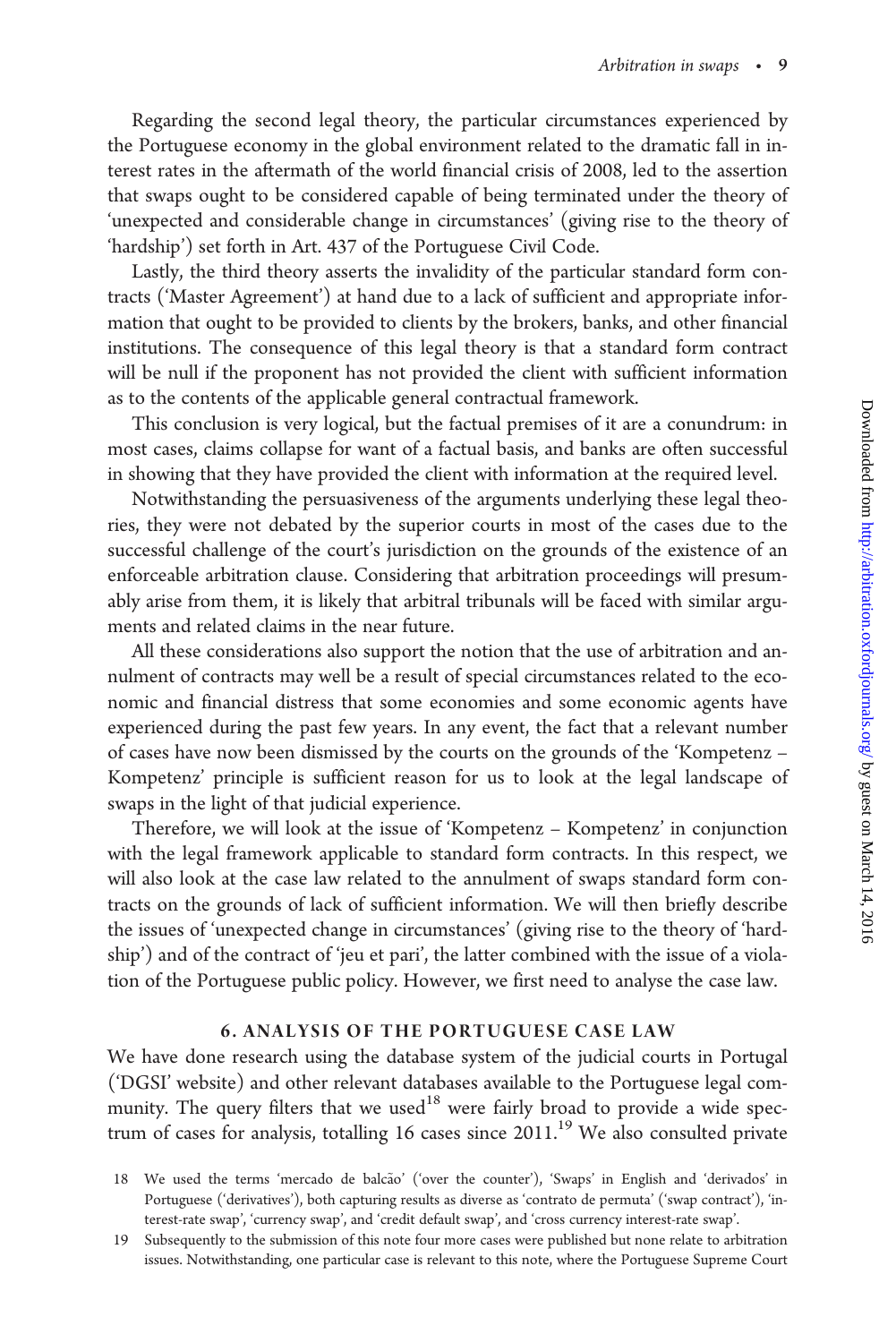Regarding the second legal theory, the particular circumstances experienced by the Portuguese economy in the global environment related to the dramatic fall in interest rates in the aftermath of the world financial crisis of 2008, led to the assertion that swaps ought to be considered capable of being terminated under the theory of 'unexpected and considerable change in circumstances' (giving rise to the theory of 'hardship') set forth in Art. 437 of the Portuguese Civil Code.

Lastly, the third theory asserts the invalidity of the particular standard form contracts ('Master Agreement') at hand due to a lack of sufficient and appropriate information that ought to be provided to clients by the brokers, banks, and other financial institutions. The consequence of this legal theory is that a standard form contract will be null if the proponent has not provided the client with sufficient information as to the contents of the applicable general contractual framework.

This conclusion is very logical, but the factual premises of it are a conundrum: in most cases, claims collapse for want of a factual basis, and banks are often successful in showing that they have provided the client with information at the required level.

Notwithstanding the persuasiveness of the arguments underlying these legal theories, they were not debated by the superior courts in most of the cases due to the successful challenge of the court's jurisdiction on the grounds of the existence of an enforceable arbitration clause. Considering that arbitration proceedings will presumably arise from them, it is likely that arbitral tribunals will be faced with similar arguments and related claims in the near future.

All these considerations also support the notion that the use of arbitration and annulment of contracts may well be a result of special circumstances related to the economic and financial distress that some economies and some economic agents have experienced during the past few years. In any event, the fact that a relevant number of cases have now been dismissed by the courts on the grounds of the 'Kompetenz – Kompetenz' principle is sufficient reason for us to look at the legal landscape of swaps in the light of that judicial experience.

Therefore, we will look at the issue of 'Kompetenz – Kompetenz' in conjunction with the legal framework applicable to standard form contracts. In this respect, we will also look at the case law related to the annulment of swaps standard form contracts on the grounds of lack of sufficient information. We will then briefly describe the issues of 'unexpected change in circumstances' (giving rise to the theory of 'hardship') and of the contract of 'jeu et pari', the latter combined with the issue of a violation of the Portuguese public policy. However, we first need to analyse the case law.

#### 6. ANALYSIS OF THE PORTUGUESE CASE LAW

We have done research using the database system of the judicial courts in Portugal ('DGSI' website) and other relevant databases available to the Portuguese legal community. The query filters that we used<sup>18</sup> were fairly broad to provide a wide spectrum of cases for analysis, totalling 16 cases since 2011.<sup>19</sup> We also consulted private

<sup>18</sup> We used the terms 'mercado de balcão' ('over the counter'), 'Swaps' in English and 'derivados' in Portuguese ('derivatives'), both capturing results as diverse as 'contrato de permuta' ('swap contract'), 'interest-rate swap', 'currency swap', and 'credit default swap', and 'cross currency interest-rate swap'.

<sup>19</sup> Subsequently to the submission of this note four more cases were published but none relate to arbitration issues. Notwithstanding, one particular case is relevant to this note, where the Portuguese Supreme Court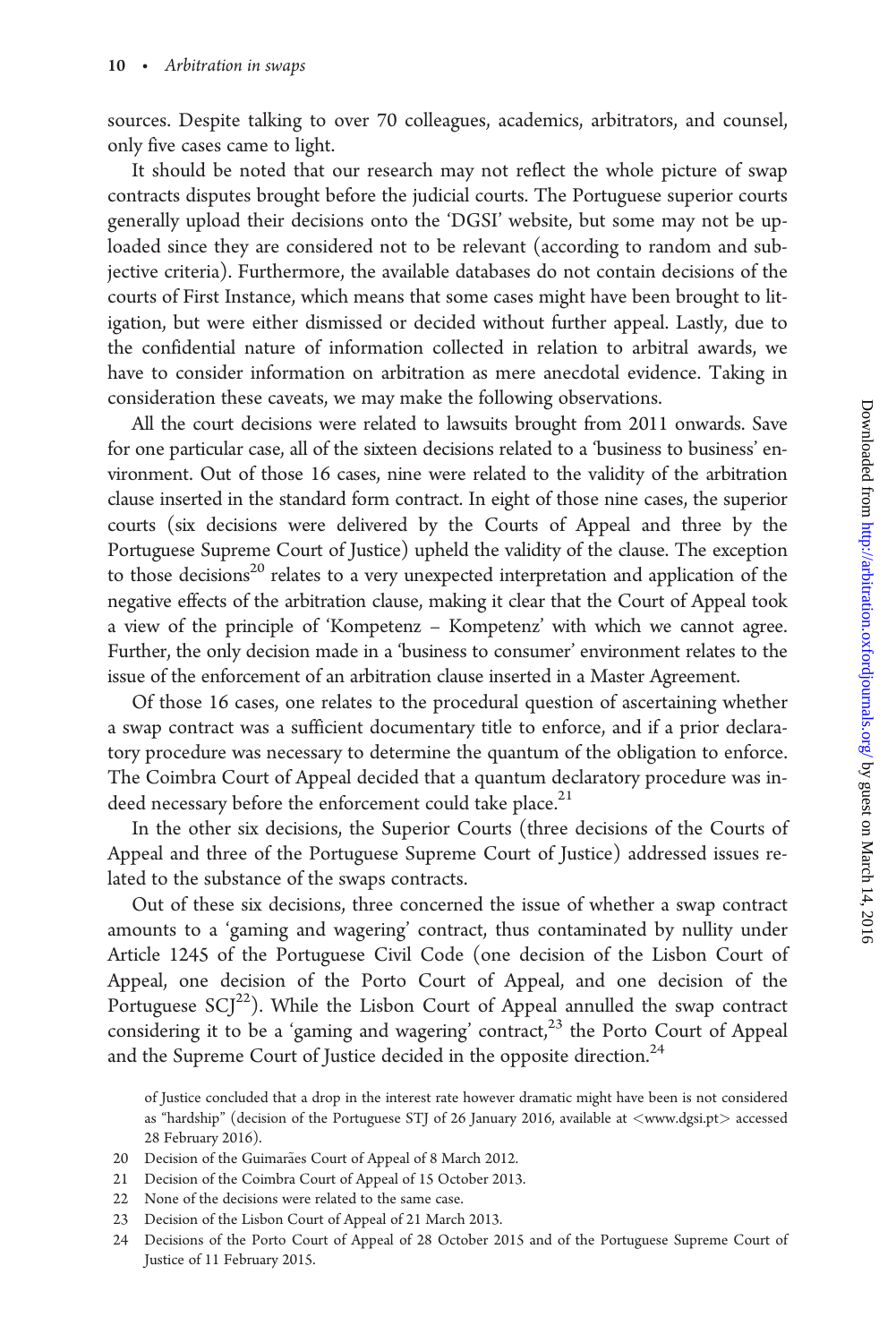sources. Despite talking to over 70 colleagues, academics, arbitrators, and counsel, only five cases came to light.

It should be noted that our research may not reflect the whole picture of swap contracts disputes brought before the judicial courts. The Portuguese superior courts generally upload their decisions onto the 'DGSI' website, but some may not be uploaded since they are considered not to be relevant (according to random and subjective criteria). Furthermore, the available databases do not contain decisions of the courts of First Instance, which means that some cases might have been brought to litigation, but were either dismissed or decided without further appeal. Lastly, due to the confidential nature of information collected in relation to arbitral awards, we have to consider information on arbitration as mere anecdotal evidence. Taking in consideration these caveats, we may make the following observations.

All the court decisions were related to lawsuits brought from 2011 onwards. Save for one particular case, all of the sixteen decisions related to a 'business to business' environment. Out of those 16 cases, nine were related to the validity of the arbitration clause inserted in the standard form contract. In eight of those nine cases, the superior courts (six decisions were delivered by the Courts of Appeal and three by the Portuguese Supreme Court of Justice) upheld the validity of the clause. The exception to those decisions<sup>20</sup> relates to a very unexpected interpretation and application of the negative effects of the arbitration clause, making it clear that the Court of Appeal took a view of the principle of 'Kompetenz – Kompetenz' with which we cannot agree. Further, the only decision made in a 'business to consumer' environment relates to the issue of the enforcement of an arbitration clause inserted in a Master Agreement.

Of those 16 cases, one relates to the procedural question of ascertaining whether a swap contract was a sufficient documentary title to enforce, and if a prior declaratory procedure was necessary to determine the quantum of the obligation to enforce. The Coimbra Court of Appeal decided that a quantum declaratory procedure was indeed necessary before the enforcement could take place.<sup>21</sup>

In the other six decisions, the Superior Courts (three decisions of the Courts of Appeal and three of the Portuguese Supreme Court of Justice) addressed issues related to the substance of the swaps contracts.

Out of these six decisions, three concerned the issue of whether a swap contract amounts to a 'gaming and wagering' contract, thus contaminated by nullity under Article 1245 of the Portuguese Civil Code (one decision of the Lisbon Court of Appeal, one decision of the Porto Court of Appeal, and one decision of the Portuguese  $\text{SCI}^{22}$ ). While the Lisbon Court of Appeal annulled the swap contract considering it to be a 'gaming and wagering' contract,<sup>23</sup> the Porto Court of Appeal and the Supreme Court of Justice decided in the opposite direction. $24$ 

of Justice concluded that a drop in the interest rate however dramatic might have been is not considered as "hardship" (decision of the Portuguese STJ of 26 January 2016, available at  $\langle$ <www.dgsi.pt> $\rangle$  accessed 28 February 2016).

- 20 Decision of the Guimarães Court of Appeal of 8 March 2012.
- 21 Decision of the Coimbra Court of Appeal of 15 October 2013.
- 22 None of the decisions were related to the same case.
- 23 Decision of the Lisbon Court of Appeal of 21 March 2013.
- 24 Decisions of the Porto Court of Appeal of 28 October 2015 and of the Portuguese Supreme Court of Justice of 11 February 2015.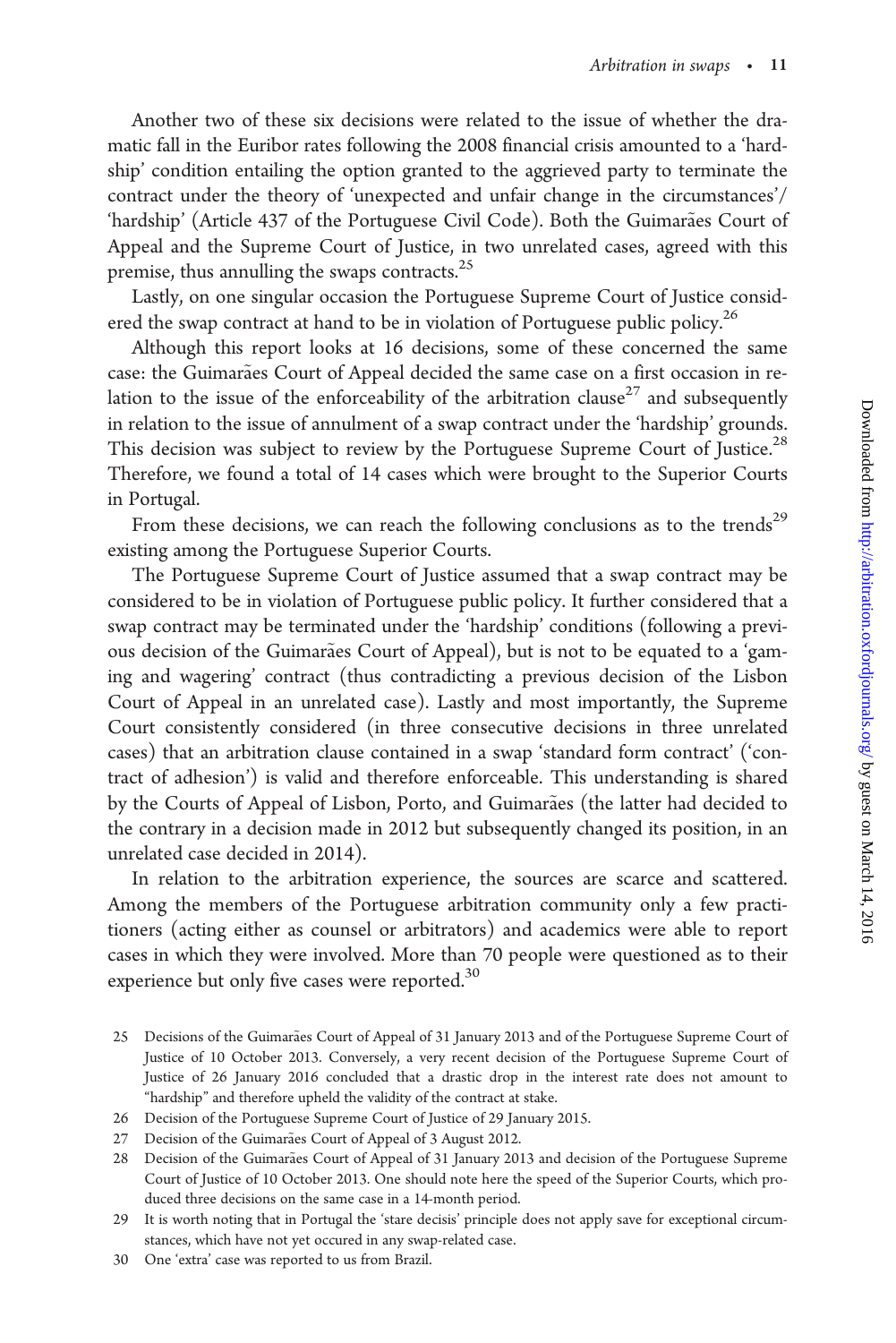Another two of these six decisions were related to the issue of whether the dramatic fall in the Euribor rates following the 2008 financial crisis amounted to a 'hardship' condition entailing the option granted to the aggrieved party to terminate the contract under the theory of 'unexpected and unfair change in the circumstances'/ 'hardship' (Article 437 of the Portuguese Civil Code). Both the Guimarães Court of Appeal and the Supreme Court of Justice, in two unrelated cases, agreed with this premise, thus annulling the swaps contracts.<sup>25</sup>

Lastly, on one singular occasion the Portuguese Supreme Court of Justice considered the swap contract at hand to be in violation of Portuguese public policy.<sup>26</sup>

Although this report looks at 16 decisions, some of these concerned the same case: the Guimarães Court of Appeal decided the same case on a first occasion in relation to the issue of the enforceability of the arbitration clause<sup>27</sup> and subsequently in relation to the issue of annulment of a swap contract under the 'hardship' grounds. This decision was subject to review by the Portuguese Supreme Court of Justice.<sup>28</sup> Therefore, we found a total of 14 cases which were brought to the Superior Courts in Portugal.

From these decisions, we can reach the following conclusions as to the trends<sup>29</sup> existing among the Portuguese Superior Courts.

The Portuguese Supreme Court of Justice assumed that a swap contract may be considered to be in violation of Portuguese public policy. It further considered that a swap contract may be terminated under the 'hardship' conditions (following a previous decision of the Guimarães Court of Appeal), but is not to be equated to a 'gaming and wagering' contract (thus contradicting a previous decision of the Lisbon Court of Appeal in an unrelated case). Lastly and most importantly, the Supreme Court consistently considered (in three consecutive decisions in three unrelated cases) that an arbitration clause contained in a swap 'standard form contract' ('contract of adhesion') is valid and therefore enforceable. This understanding is shared by the Courts of Appeal of Lisbon, Porto, and Guimarães (the latter had decided to the contrary in a decision made in 2012 but subsequently changed its position, in an unrelated case decided in 2014).

In relation to the arbitration experience, the sources are scarce and scattered. Among the members of the Portuguese arbitration community only a few practitioners (acting either as counsel or arbitrators) and academics were able to report cases in which they were involved. More than 70 people were questioned as to their experience but only five cases were reported.<sup>30</sup>

<sup>25</sup> Decisions of the Guimarães Court of Appeal of 31 January 2013 and of the Portuguese Supreme Court of Justice of 10 October 2013. Conversely, a very recent decision of the Portuguese Supreme Court of Justice of 26 January 2016 concluded that a drastic drop in the interest rate does not amount to "hardship" and therefore upheld the validity of the contract at stake.

<sup>26</sup> Decision of the Portuguese Supreme Court of Justice of 29 January 2015.

<sup>27</sup> Decision of the Guimarães Court of Appeal of 3 August 2012.

<sup>28</sup> Decision of the Guimarães Court of Appeal of 31 January 2013 and decision of the Portuguese Supreme Court of Justice of 10 October 2013. One should note here the speed of the Superior Courts, which produced three decisions on the same case in a 14-month period.

<sup>29</sup> It is worth noting that in Portugal the 'stare decisis' principle does not apply save for exceptional circumstances, which have not yet occured in any swap-related case.

<sup>30</sup> One 'extra' case was reported to us from Brazil.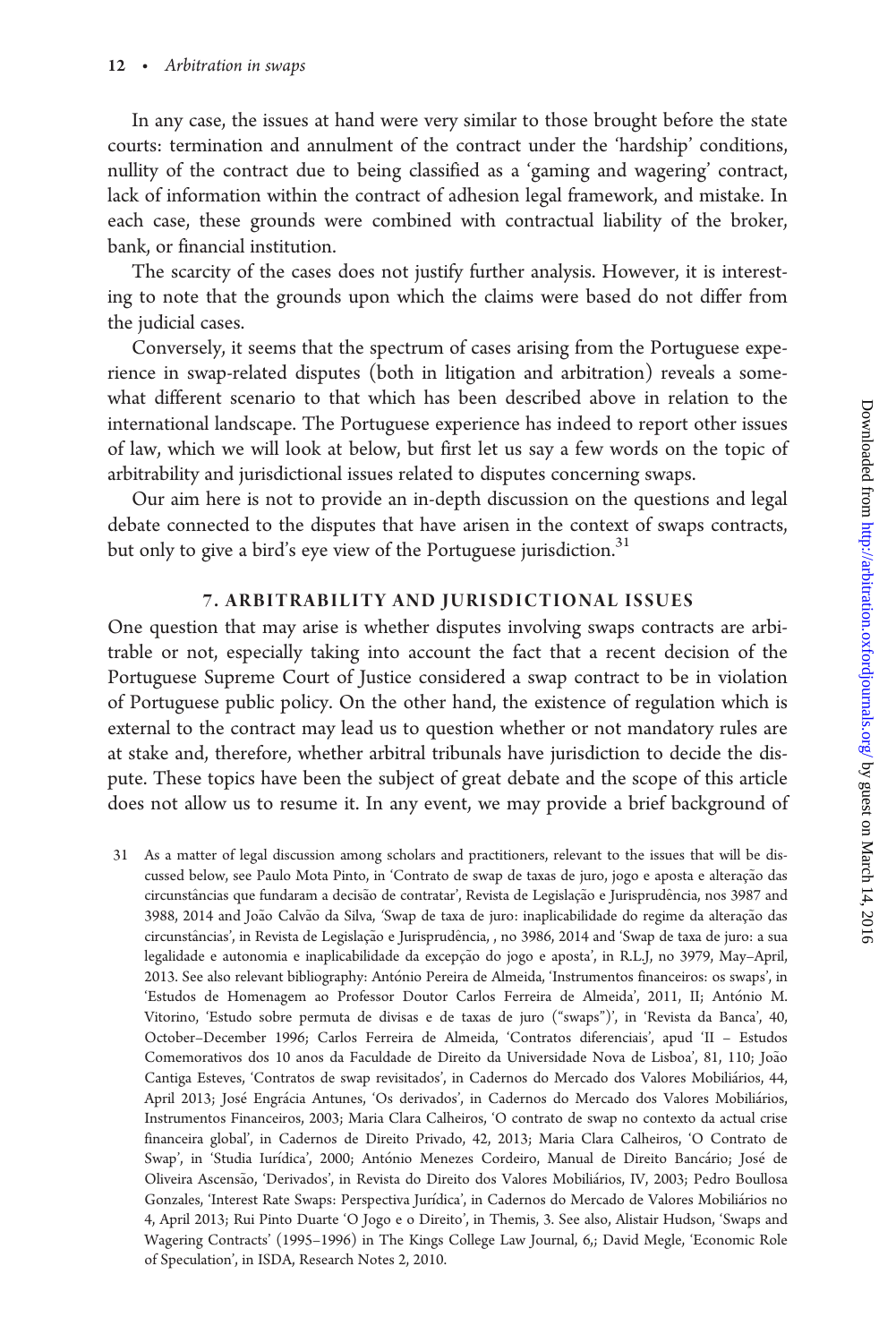In any case, the issues at hand were very similar to those brought before the state courts: termination and annulment of the contract under the 'hardship' conditions, nullity of the contract due to being classified as a 'gaming and wagering' contract, lack of information within the contract of adhesion legal framework, and mistake. In each case, these grounds were combined with contractual liability of the broker, bank, or financial institution.

The scarcity of the cases does not justify further analysis. However, it is interesting to note that the grounds upon which the claims were based do not differ from the judicial cases.

Conversely, it seems that the spectrum of cases arising from the Portuguese experience in swap-related disputes (both in litigation and arbitration) reveals a somewhat different scenario to that which has been described above in relation to the international landscape. The Portuguese experience has indeed to report other issues of law, which we will look at below, but first let us say a few words on the topic of arbitrability and jurisdictional issues related to disputes concerning swaps.

Our aim here is not to provide an in-depth discussion on the questions and legal debate connected to the disputes that have arisen in the context of swaps contracts, but only to give a bird's eye view of the Portuguese jurisdiction.<sup>31</sup>

## 7. ARBITRABILITY AND JURISDICTIONAL ISSUES

One question that may arise is whether disputes involving swaps contracts are arbitrable or not, especially taking into account the fact that a recent decision of the Portuguese Supreme Court of Justice considered a swap contract to be in violation of Portuguese public policy. On the other hand, the existence of regulation which is external to the contract may lead us to question whether or not mandatory rules are at stake and, therefore, whether arbitral tribunals have jurisdiction to decide the dispute. These topics have been the subject of great debate and the scope of this article does not allow us to resume it. In any event, we may provide a brief background of

31 As a matter of legal discussion among scholars and practitioners, relevant to the issues that will be discussed below, see Paulo Mota Pinto, in 'Contrato de swap de taxas de juro, jogo e aposta e alteração das circunstâncias que fundaram a decisão de contratar', Revista de Legislação e Jurisprudência, nos 3987 and 3988, 2014 and João Calvão da Silva, 'Swap de taxa de juro: inaplicabilidade do regime da alteração das circunstâncias', in Revista de Legislação e Jurisprudência, , no 3986, 2014 and 'Swap de taxa de juro: a sua legalidade e autonomia e inaplicabilidade da excepção do jogo e aposta', in R.L.J, no 3979, May-April, 2013. See also relevant bibliography: António Pereira de Almeida, 'Instrumentos financeiros: os swaps', in 'Estudos de Homenagem ao Professor Doutor Carlos Ferreira de Almeida', 2011, II; António M. Vitorino, 'Estudo sobre permuta de divisas e de taxas de juro ("swaps")', in 'Revista da Banca', 40, October–December 1996; Carlos Ferreira de Almeida, 'Contratos diferenciais', apud 'II – Estudos Comemorativos dos 10 anos da Faculdade de Direito da Universidade Nova de Lisboa', 81, 110; João Cantiga Esteves, 'Contratos de swap revisitados', in Cadernos do Mercado dos Valores Mobiliários, 44, April 2013; José Engrácia Antunes, 'Os derivados', in Cadernos do Mercado dos Valores Mobiliários, Instrumentos Financeiros, 2003; Maria Clara Calheiros, 'O contrato de swap no contexto da actual crise financeira global', in Cadernos de Direito Privado, 42, 2013; Maria Clara Calheiros, 'O Contrato de Swap', in 'Studia Iurídica', 2000; António Menezes Cordeiro, Manual de Direito Bancário; José de Oliveira Ascensão, 'Derivados', in Revista do Direito dos Valores Mobiliários, IV, 2003; Pedro Boullosa Gonzales, 'Interest Rate Swaps: Perspectiva Jurídica', in Cadernos do Mercado de Valores Mobiliários no 4, April 2013; Rui Pinto Duarte 'O Jogo e o Direito', in Themis, 3. See also, Alistair Hudson, 'Swaps and Wagering Contracts' (1995–1996) in The Kings College Law Journal, 6,; David Megle, 'Economic Role of Speculation', in ISDA, Research Notes 2, 2010.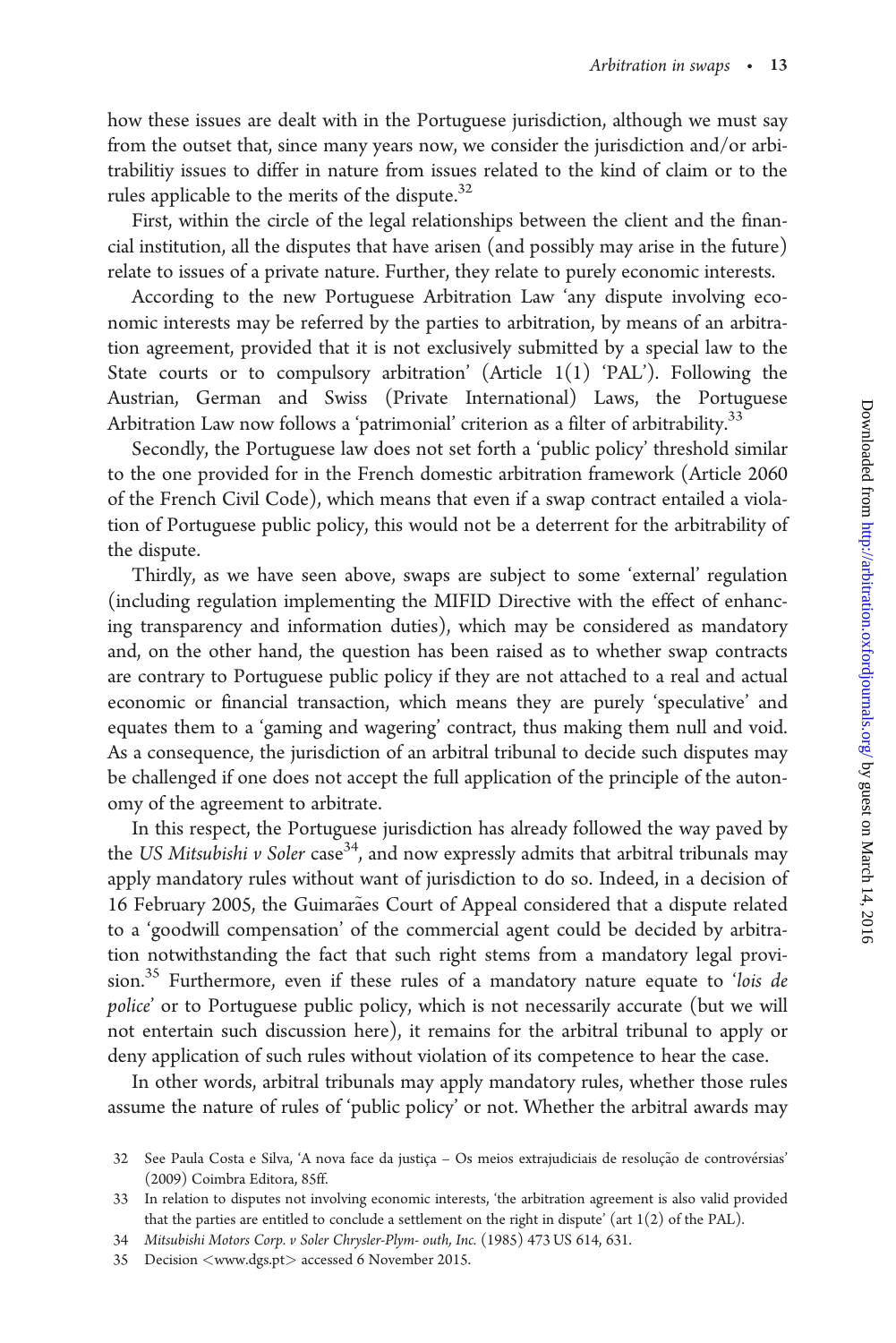how these issues are dealt with in the Portuguese jurisdiction, although we must say from the outset that, since many years now, we consider the jurisdiction and/or arbitrabilitiy issues to differ in nature from issues related to the kind of claim or to the rules applicable to the merits of the dispute.<sup>32</sup>

First, within the circle of the legal relationships between the client and the financial institution, all the disputes that have arisen (and possibly may arise in the future) relate to issues of a private nature. Further, they relate to purely economic interests.

According to the new Portuguese Arbitration Law 'any dispute involving economic interests may be referred by the parties to arbitration, by means of an arbitration agreement, provided that it is not exclusively submitted by a special law to the State courts or to compulsory arbitration' (Article  $1(1)$  'PAL'). Following the Austrian, German and Swiss (Private International) Laws, the Portuguese Arbitration Law now follows a 'patrimonial' criterion as a filter of arbitrability.<sup>33</sup>

Secondly, the Portuguese law does not set forth a 'public policy' threshold similar to the one provided for in the French domestic arbitration framework (Article 2060 of the French Civil Code), which means that even if a swap contract entailed a violation of Portuguese public policy, this would not be a deterrent for the arbitrability of the dispute.

Thirdly, as we have seen above, swaps are subject to some 'external' regulation (including regulation implementing the MIFID Directive with the effect of enhancing transparency and information duties), which may be considered as mandatory and, on the other hand, the question has been raised as to whether swap contracts are contrary to Portuguese public policy if they are not attached to a real and actual economic or financial transaction, which means they are purely 'speculative' and equates them to a 'gaming and wagering' contract, thus making them null and void. As a consequence, the jurisdiction of an arbitral tribunal to decide such disputes may be challenged if one does not accept the full application of the principle of the autonomy of the agreement to arbitrate.

In this respect, the Portuguese jurisdiction has already followed the way paved by the US Mitsubishi v Soler case<sup>34</sup>, and now expressly admits that arbitral tribunals may apply mandatory rules without want of jurisdiction to do so. Indeed, in a decision of 16 February 2005, the Guimarães Court of Appeal considered that a dispute related to a 'goodwill compensation' of the commercial agent could be decided by arbitration notwithstanding the fact that such right stems from a mandatory legal provision.35 Furthermore, even if these rules of a mandatory nature equate to 'lois de police' or to Portuguese public policy, which is not necessarily accurate (but we will not entertain such discussion here), it remains for the arbitral tribunal to apply or deny application of such rules without violation of its competence to hear the case.

In other words, arbitral tribunals may apply mandatory rules, whether those rules assume the nature of rules of 'public policy' or not. Whether the arbitral awards may

<sup>32</sup> See Paula Costa e Silva, 'A nova face da justiça - Os meios extrajudiciais de resolução de controvérsias (2009) Coimbra Editora, 85ff.

<sup>33</sup> In relation to disputes not involving economic interests, 'the arbitration agreement is also valid provided that the parties are entitled to conclude a settlement on the right in dispute' (art 1(2) of the PAL).

<sup>34</sup> Mitsubishi Motors Corp. v Soler Chrysler-Plym- outh, Inc. (1985) 473 US 614, 631.

<sup>35</sup> Decision <<www.dgs.pt>> accessed 6 November 2015.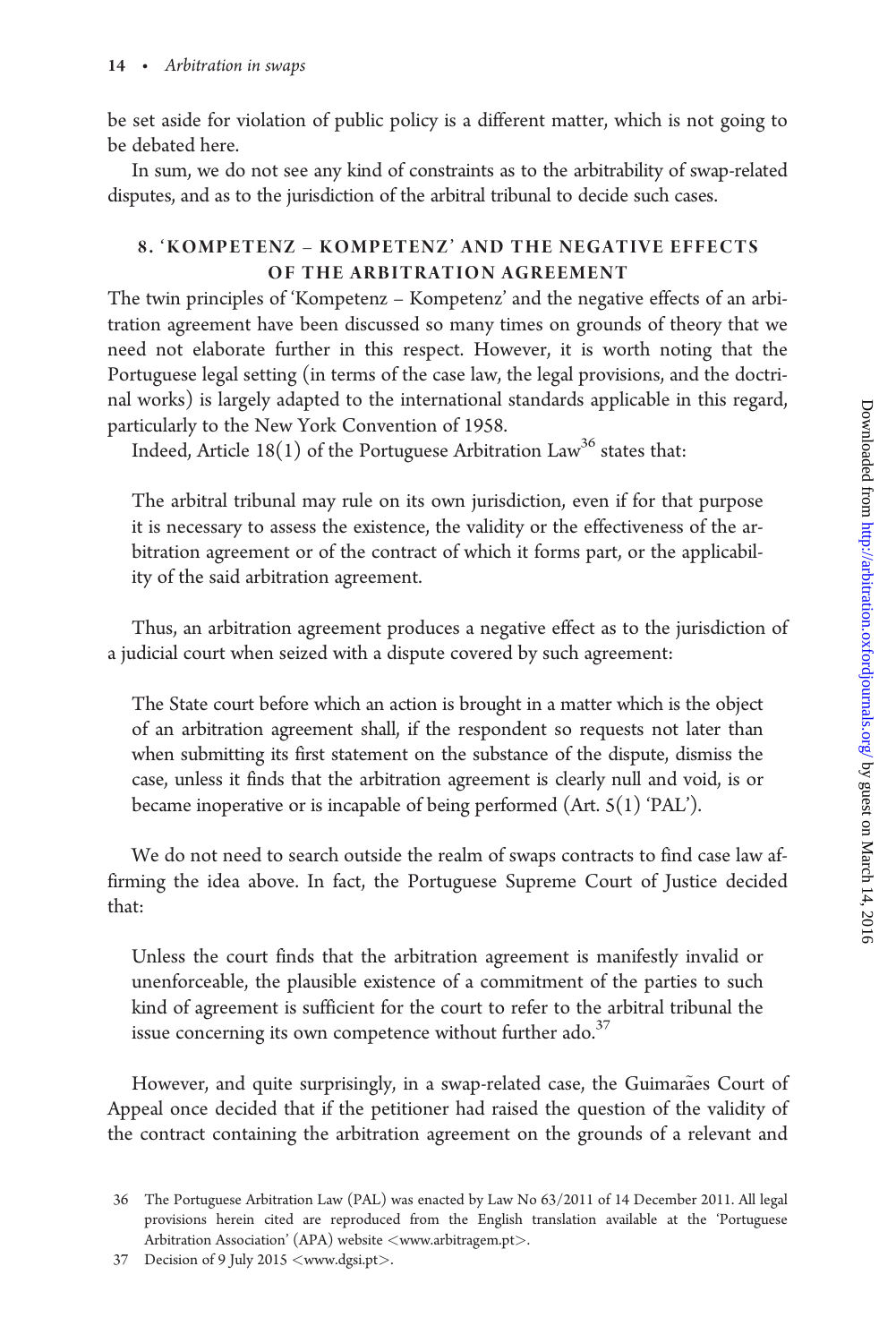be set aside for violation of public policy is a different matter, which is not going to be debated here.

In sum, we do not see any kind of constraints as to the arbitrability of swap-related disputes, and as to the jurisdiction of the arbitral tribunal to decide such cases.

# 8. 'KOMPETENZ – KOMPETENZ' AND THE NEGATIVE EFFECTS OF THE ARBITRATION AGREEMENT

The twin principles of 'Kompetenz – Kompetenz' and the negative effects of an arbitration agreement have been discussed so many times on grounds of theory that we need not elaborate further in this respect. However, it is worth noting that the Portuguese legal setting (in terms of the case law, the legal provisions, and the doctrinal works) is largely adapted to the international standards applicable in this regard, particularly to the New York Convention of 1958.

Indeed, Article  $18(1)$  of the Portuguese Arbitration Law<sup>36</sup> states that:

The arbitral tribunal may rule on its own jurisdiction, even if for that purpose it is necessary to assess the existence, the validity or the effectiveness of the arbitration agreement or of the contract of which it forms part, or the applicability of the said arbitration agreement.

Thus, an arbitration agreement produces a negative effect as to the jurisdiction of a judicial court when seized with a dispute covered by such agreement:

The State court before which an action is brought in a matter which is the object of an arbitration agreement shall, if the respondent so requests not later than when submitting its first statement on the substance of the dispute, dismiss the case, unless it finds that the arbitration agreement is clearly null and void, is or became inoperative or is incapable of being performed (Art. 5(1) 'PAL').

We do not need to search outside the realm of swaps contracts to find case law affirming the idea above. In fact, the Portuguese Supreme Court of Justice decided that:

Unless the court finds that the arbitration agreement is manifestly invalid or unenforceable, the plausible existence of a commitment of the parties to such kind of agreement is sufficient for the court to refer to the arbitral tribunal the issue concerning its own competence without further  $\text{ado.}^{37}$ 

However, and quite surprisingly, in a swap-related case, the Guimarães Court of Appeal once decided that if the petitioner had raised the question of the validity of the contract containing the arbitration agreement on the grounds of a relevant and

<sup>36</sup> The Portuguese Arbitration Law (PAL) was enacted by Law No 63/2011 of 14 December 2011. All legal provisions herein cited are reproduced from the English translation available at the 'Portuguese Arbitration Association' (APA) website <<www.arbitragem.pt>>.

<sup>37</sup> Decision of 9 July 2015 <<www.dgsi.pt>>.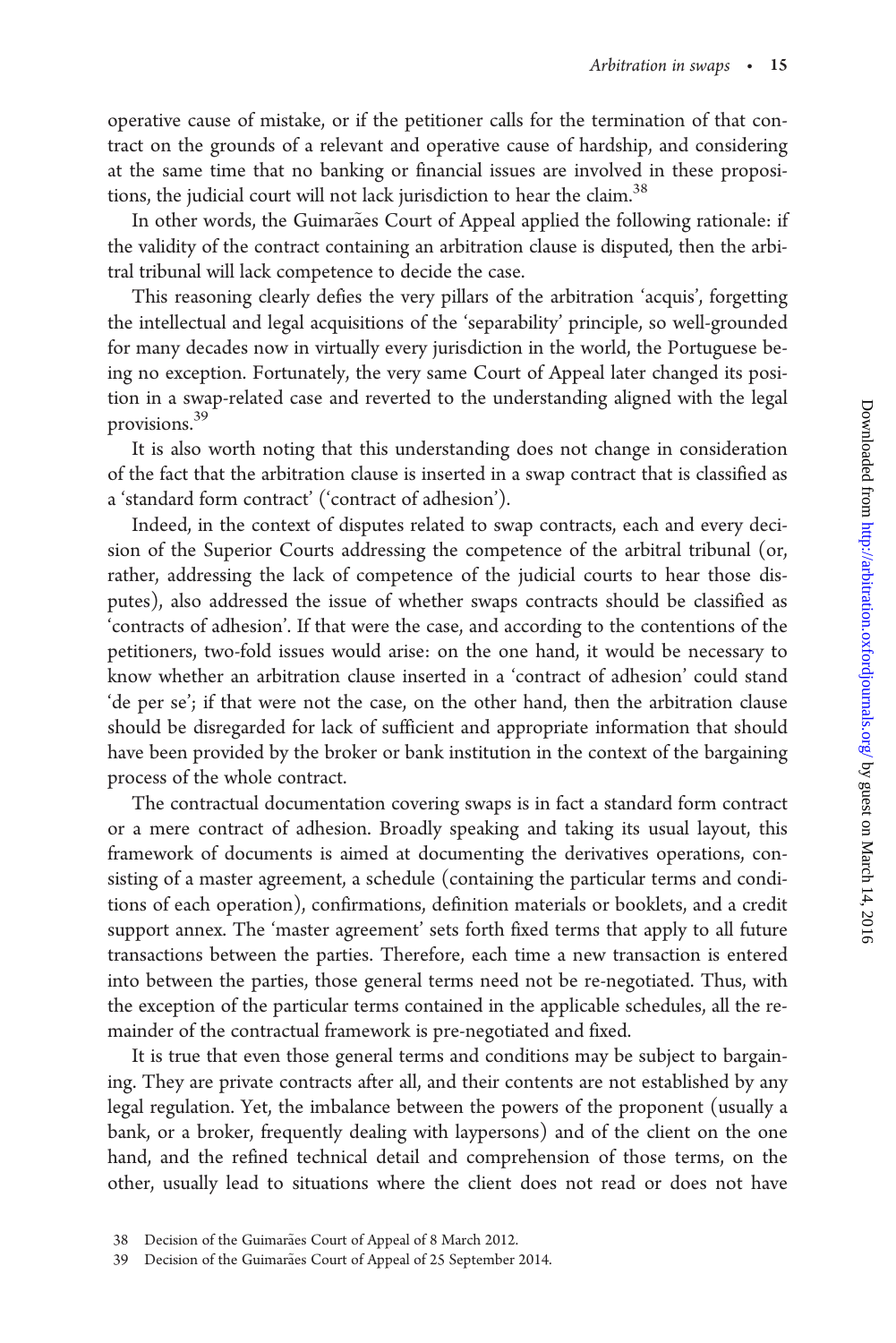operative cause of mistake, or if the petitioner calls for the termination of that contract on the grounds of a relevant and operative cause of hardship, and considering at the same time that no banking or financial issues are involved in these propositions, the judicial court will not lack jurisdiction to hear the claim.<sup>38</sup>

In other words, the Guimarães Court of Appeal applied the following rationale: if the validity of the contract containing an arbitration clause is disputed, then the arbitral tribunal will lack competence to decide the case.

This reasoning clearly defies the very pillars of the arbitration 'acquis', forgetting the intellectual and legal acquisitions of the 'separability' principle, so well-grounded for many decades now in virtually every jurisdiction in the world, the Portuguese being no exception. Fortunately, the very same Court of Appeal later changed its position in a swap-related case and reverted to the understanding aligned with the legal provisions.39

It is also worth noting that this understanding does not change in consideration of the fact that the arbitration clause is inserted in a swap contract that is classified as a 'standard form contract' ('contract of adhesion').

Indeed, in the context of disputes related to swap contracts, each and every decision of the Superior Courts addressing the competence of the arbitral tribunal (or, rather, addressing the lack of competence of the judicial courts to hear those disputes), also addressed the issue of whether swaps contracts should be classified as 'contracts of adhesion'. If that were the case, and according to the contentions of the petitioners, two-fold issues would arise: on the one hand, it would be necessary to know whether an arbitration clause inserted in a 'contract of adhesion' could stand 'de per se'; if that were not the case, on the other hand, then the arbitration clause should be disregarded for lack of sufficient and appropriate information that should have been provided by the broker or bank institution in the context of the bargaining process of the whole contract.

The contractual documentation covering swaps is in fact a standard form contract or a mere contract of adhesion. Broadly speaking and taking its usual layout, this framework of documents is aimed at documenting the derivatives operations, consisting of a master agreement, a schedule (containing the particular terms and conditions of each operation), confirmations, definition materials or booklets, and a credit support annex. The 'master agreement' sets forth fixed terms that apply to all future transactions between the parties. Therefore, each time a new transaction is entered into between the parties, those general terms need not be re-negotiated. Thus, with the exception of the particular terms contained in the applicable schedules, all the remainder of the contractual framework is pre-negotiated and fixed.

It is true that even those general terms and conditions may be subject to bargaining. They are private contracts after all, and their contents are not established by any legal regulation. Yet, the imbalance between the powers of the proponent (usually a bank, or a broker, frequently dealing with laypersons) and of the client on the one hand, and the refined technical detail and comprehension of those terms, on the other, usually lead to situations where the client does not read or does not have

<sup>38</sup> Decision of the Guimarães Court of Appeal of 8 March 2012.

<sup>39</sup> Decision of the Guimarães Court of Appeal of 25 September 2014.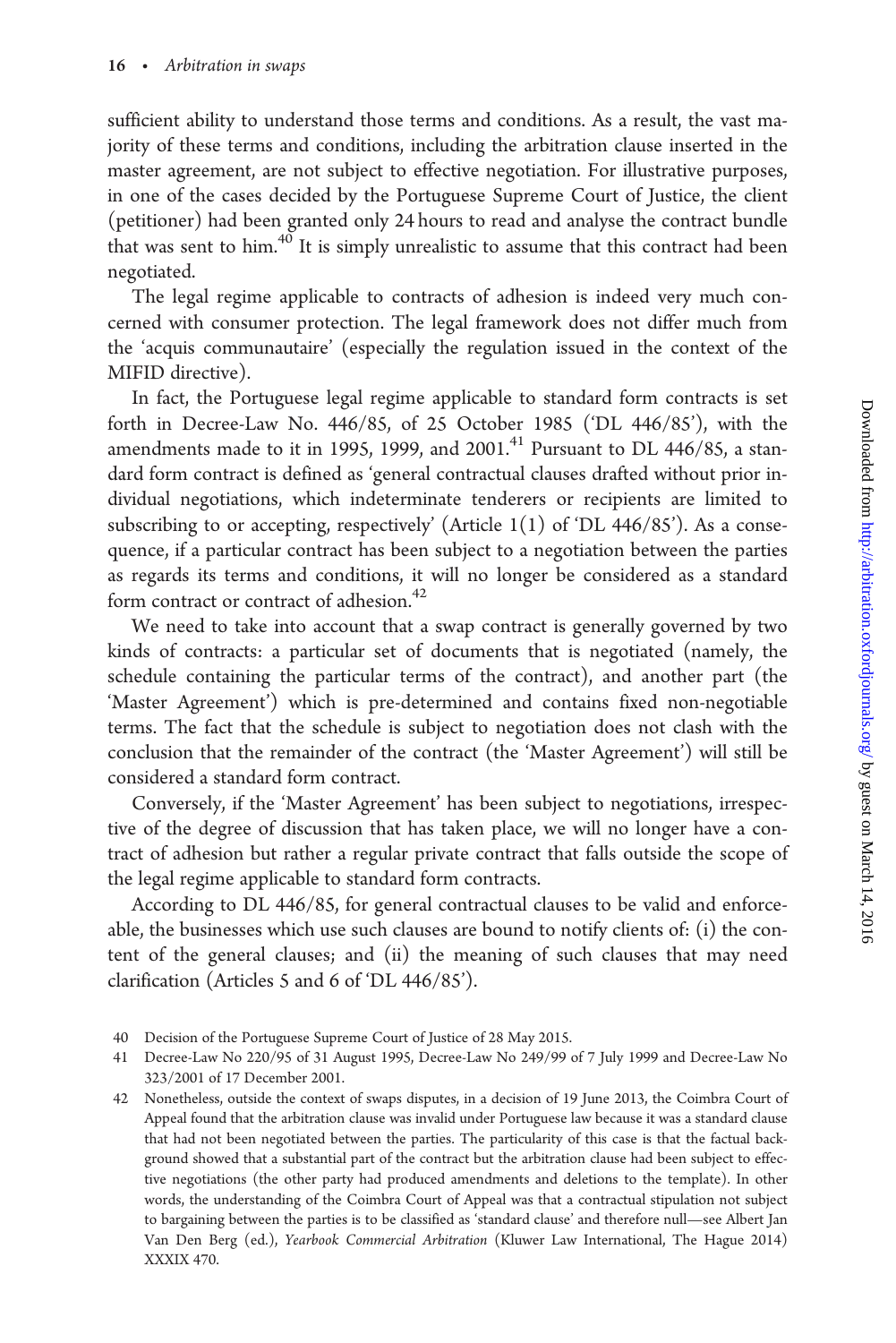sufficient ability to understand those terms and conditions. As a result, the vast majority of these terms and conditions, including the arbitration clause inserted in the master agreement, are not subject to effective negotiation. For illustrative purposes, in one of the cases decided by the Portuguese Supreme Court of Justice, the client (petitioner) had been granted only 24 hours to read and analyse the contract bundle that was sent to him. $40$  It is simply unrealistic to assume that this contract had been negotiated.

The legal regime applicable to contracts of adhesion is indeed very much concerned with consumer protection. The legal framework does not differ much from the 'acquis communautaire' (especially the regulation issued in the context of the MIFID directive).

In fact, the Portuguese legal regime applicable to standard form contracts is set forth in Decree-Law No. 446/85, of 25 October 1985 ('DL 446/85'), with the amendments made to it in 1995, 1999, and  $2001<sup>41</sup>$  Pursuant to DL 446/85, a standard form contract is defined as 'general contractual clauses drafted without prior individual negotiations, which indeterminate tenderers or recipients are limited to subscribing to or accepting, respectively' (Article  $1(1)$  of 'DL 446/85'). As a consequence, if a particular contract has been subject to a negotiation between the parties as regards its terms and conditions, it will no longer be considered as a standard form contract or contract of adhesion.<sup>42</sup>

We need to take into account that a swap contract is generally governed by two kinds of contracts: a particular set of documents that is negotiated (namely, the schedule containing the particular terms of the contract), and another part (the 'Master Agreement') which is pre-determined and contains fixed non-negotiable terms. The fact that the schedule is subject to negotiation does not clash with the conclusion that the remainder of the contract (the 'Master Agreement') will still be considered a standard form contract.

Conversely, if the 'Master Agreement' has been subject to negotiations, irrespective of the degree of discussion that has taken place, we will no longer have a contract of adhesion but rather a regular private contract that falls outside the scope of the legal regime applicable to standard form contracts.

According to DL 446/85, for general contractual clauses to be valid and enforceable, the businesses which use such clauses are bound to notify clients of: (i) the content of the general clauses; and (ii) the meaning of such clauses that may need clarification (Articles 5 and 6 of 'DL 446/85').

<sup>40</sup> Decision of the Portuguese Supreme Court of Justice of 28 May 2015.

<sup>41</sup> Decree-Law No 220/95 of 31 August 1995, Decree-Law No 249/99 of 7 July 1999 and Decree-Law No 323/2001 of 17 December 2001.

<sup>42</sup> Nonetheless, outside the context of swaps disputes, in a decision of 19 June 2013, the Coimbra Court of Appeal found that the arbitration clause was invalid under Portuguese law because it was a standard clause that had not been negotiated between the parties. The particularity of this case is that the factual background showed that a substantial part of the contract but the arbitration clause had been subject to effective negotiations (the other party had produced amendments and deletions to the template). In other words, the understanding of the Coimbra Court of Appeal was that a contractual stipulation not subject to bargaining between the parties is to be classified as 'standard clause' and therefore null—see Albert Jan Van Den Berg (ed.), Yearbook Commercial Arbitration (Kluwer Law International, The Hague 2014) XXXIX 470.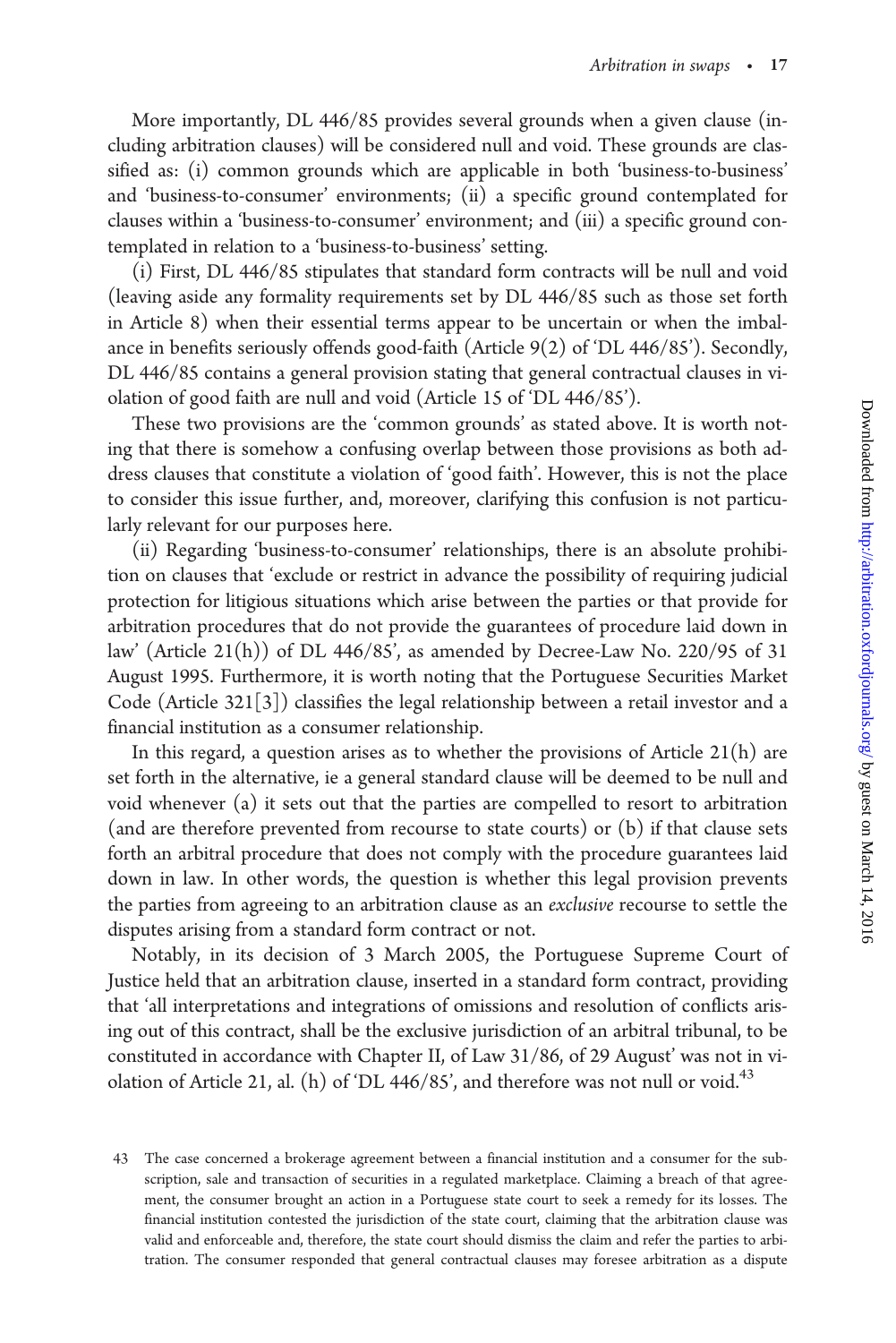More importantly, DL 446/85 provides several grounds when a given clause (including arbitration clauses) will be considered null and void. These grounds are classified as: (i) common grounds which are applicable in both 'business-to-business' and 'business-to-consumer' environments; (ii) a specific ground contemplated for clauses within a 'business-to-consumer' environment; and (iii) a specific ground contemplated in relation to a 'business-to-business' setting.

(i) First, DL 446/85 stipulates that standard form contracts will be null and void (leaving aside any formality requirements set by DL 446/85 such as those set forth in Article 8) when their essential terms appear to be uncertain or when the imbalance in benefits seriously offends good-faith (Article 9(2) of 'DL 446/85'). Secondly, DL 446/85 contains a general provision stating that general contractual clauses in violation of good faith are null and void (Article 15 of 'DL 446/85').

These two provisions are the 'common grounds' as stated above. It is worth noting that there is somehow a confusing overlap between those provisions as both address clauses that constitute a violation of 'good faith'. However, this is not the place to consider this issue further, and, moreover, clarifying this confusion is not particularly relevant for our purposes here.

(ii) Regarding 'business-to-consumer' relationships, there is an absolute prohibition on clauses that 'exclude or restrict in advance the possibility of requiring judicial protection for litigious situations which arise between the parties or that provide for arbitration procedures that do not provide the guarantees of procedure laid down in law' (Article 21(h)) of DL 446/85', as amended by Decree-Law No. 220/95 of 31 August 1995. Furthermore, it is worth noting that the Portuguese Securities Market Code (Article 321[3]) classifies the legal relationship between a retail investor and a financial institution as a consumer relationship.

In this regard, a question arises as to whether the provisions of Article  $21(h)$  are set forth in the alternative, ie a general standard clause will be deemed to be null and void whenever (a) it sets out that the parties are compelled to resort to arbitration (and are therefore prevented from recourse to state courts) or (b) if that clause sets forth an arbitral procedure that does not comply with the procedure guarantees laid down in law. In other words, the question is whether this legal provision prevents the parties from agreeing to an arbitration clause as an exclusive recourse to settle the disputes arising from a standard form contract or not.

Notably, in its decision of 3 March 2005, the Portuguese Supreme Court of Justice held that an arbitration clause, inserted in a standard form contract, providing that 'all interpretations and integrations of omissions and resolution of conflicts arising out of this contract, shall be the exclusive jurisdiction of an arbitral tribunal, to be constituted in accordance with Chapter II, of Law 31/86, of 29 August' was not in violation of Article 21, al. (h) of 'DL 446/85', and therefore was not null or void.<sup>43</sup>

<sup>43</sup> The case concerned a brokerage agreement between a financial institution and a consumer for the subscription, sale and transaction of securities in a regulated marketplace. Claiming a breach of that agreement, the consumer brought an action in a Portuguese state court to seek a remedy for its losses. The financial institution contested the jurisdiction of the state court, claiming that the arbitration clause was valid and enforceable and, therefore, the state court should dismiss the claim and refer the parties to arbitration. The consumer responded that general contractual clauses may foresee arbitration as a dispute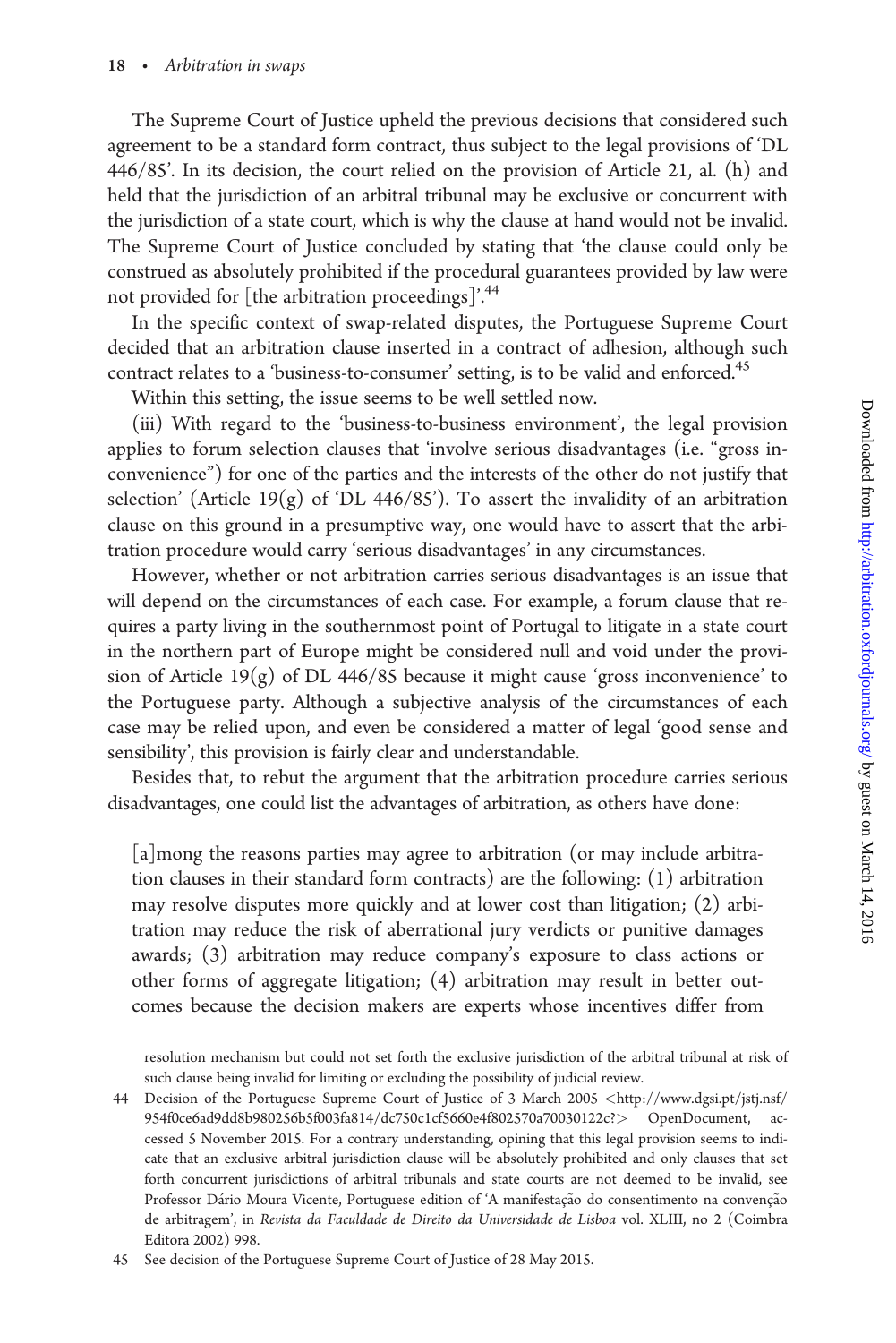The Supreme Court of Justice upheld the previous decisions that considered such agreement to be a standard form contract, thus subject to the legal provisions of 'DL 446/85'. In its decision, the court relied on the provision of Article 21, al. (h) and held that the jurisdiction of an arbitral tribunal may be exclusive or concurrent with the jurisdiction of a state court, which is why the clause at hand would not be invalid. The Supreme Court of Justice concluded by stating that 'the clause could only be construed as absolutely prohibited if the procedural guarantees provided by law were not provided for [the arbitration proceedings]'.<sup>44</sup>

In the specific context of swap-related disputes, the Portuguese Supreme Court decided that an arbitration clause inserted in a contract of adhesion, although such contract relates to a 'business-to-consumer' setting, is to be valid and enforced.<sup>45</sup>

Within this setting, the issue seems to be well settled now.

(iii) With regard to the 'business-to-business environment', the legal provision applies to forum selection clauses that 'involve serious disadvantages (i.e. "gross inconvenience") for one of the parties and the interests of the other do not justify that selection' (Article 19 $(g)$  of 'DL 446/85'). To assert the invalidity of an arbitration clause on this ground in a presumptive way, one would have to assert that the arbitration procedure would carry 'serious disadvantages' in any circumstances.

However, whether or not arbitration carries serious disadvantages is an issue that will depend on the circumstances of each case. For example, a forum clause that requires a party living in the southernmost point of Portugal to litigate in a state court in the northern part of Europe might be considered null and void under the provision of Article  $19(g)$  of DL 446/85 because it might cause 'gross inconvenience' to the Portuguese party. Although a subjective analysis of the circumstances of each case may be relied upon, and even be considered a matter of legal 'good sense and sensibility', this provision is fairly clear and understandable.

Besides that, to rebut the argument that the arbitration procedure carries serious disadvantages, one could list the advantages of arbitration, as others have done:

[a]mong the reasons parties may agree to arbitration (or may include arbitration clauses in their standard form contracts) are the following: (1) arbitration may resolve disputes more quickly and at lower cost than litigation; (2) arbitration may reduce the risk of aberrational jury verdicts or punitive damages awards; (3) arbitration may reduce company's exposure to class actions or other forms of aggregate litigation; (4) arbitration may result in better outcomes because the decision makers are experts whose incentives differ from

resolution mechanism but could not set forth the exclusive jurisdiction of the arbitral tribunal at risk of such clause being invalid for limiting or excluding the possibility of judicial review.

44 Decision of the Portuguese Supreme Court of Justice of 3 March 2005 <[http://www.dgsi.pt/jstj.nsf/](http://www.dgsi.pt/jstj.nsf/954f0ce6ad9dd8b980256b5f003fa814/dc750c1cf5660e4f802570a70030122c?) [954f0ce6ad9dd8b980256b5f003fa814/dc750c1cf5660e4f802570a70030122c?](http://www.dgsi.pt/jstj.nsf/954f0ce6ad9dd8b980256b5f003fa814/dc750c1cf5660e4f802570a70030122c?)> OpenDocument, accessed 5 November 2015. For a contrary understanding, opining that this legal provision seems to indicate that an exclusive arbitral jurisdiction clause will be absolutely prohibited and only clauses that set forth concurrent jurisdictions of arbitral tribunals and state courts are not deemed to be invalid, see Professor Dário Moura Vicente, Portuguese edition of 'A manifestação do consentimento na convenção de arbitragem', in Revista da Faculdade de Direito da Universidade de Lisboa vol. XLIII, no 2 (Coimbra Editora 2002) 998.

45 See decision of the Portuguese Supreme Court of Justice of 28 May 2015.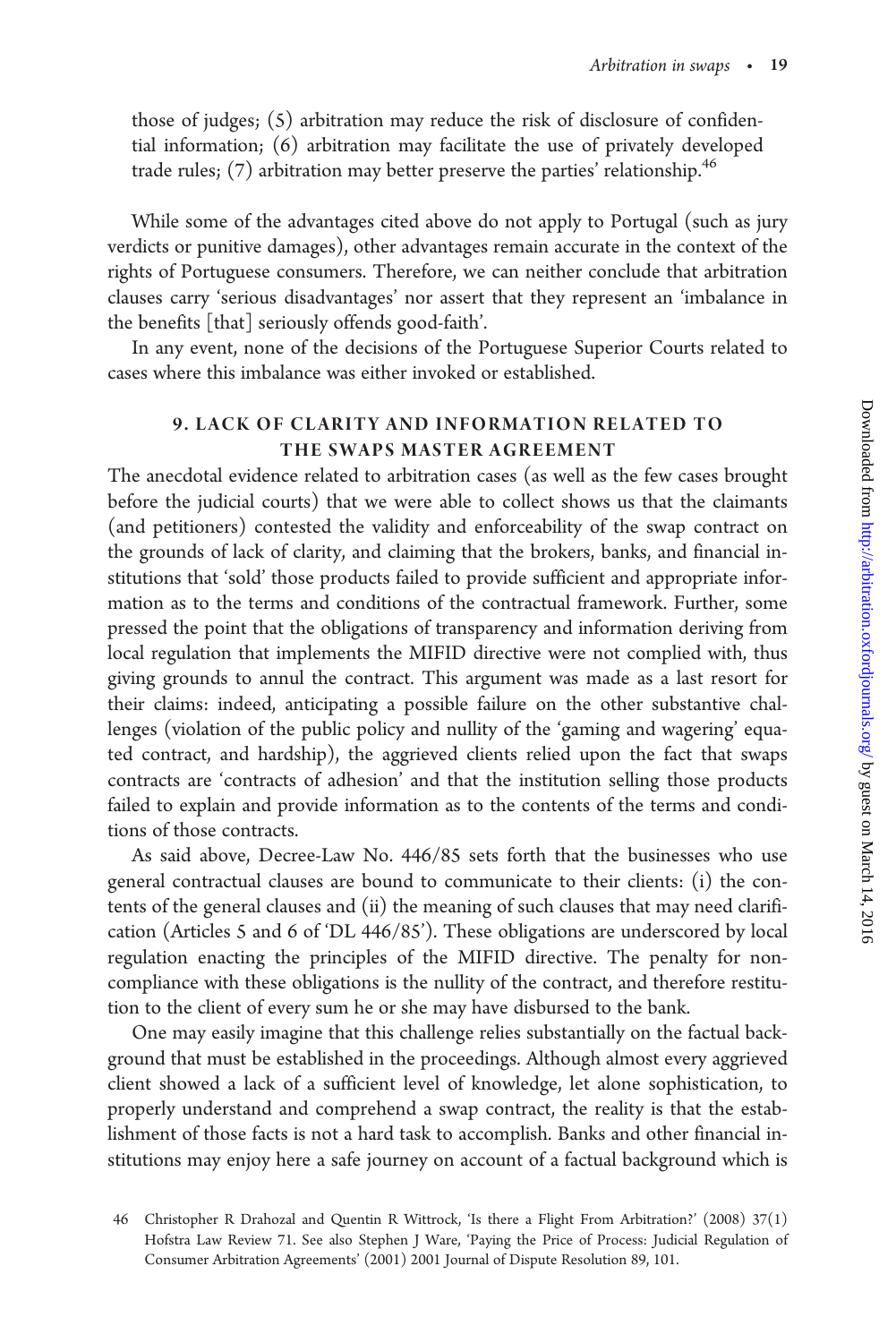those of judges; (5) arbitration may reduce the risk of disclosure of confidential information; (6) arbitration may facilitate the use of privately developed trade rules;  $(7)$  arbitration may better preserve the parties' relationship.<sup>46</sup>

While some of the advantages cited above do not apply to Portugal (such as jury verdicts or punitive damages), other advantages remain accurate in the context of the rights of Portuguese consumers. Therefore, we can neither conclude that arbitration clauses carry 'serious disadvantages' nor assert that they represent an 'imbalance in the benefits [that] seriously offends good-faith'.

In any event, none of the decisions of the Portuguese Superior Courts related to cases where this imbalance was either invoked or established.

# 9. LACK OF CLARITY AND INFORMATION RELATED TO THE SWAPS MASTER AGREEMENT

The anecdotal evidence related to arbitration cases (as well as the few cases brought before the judicial courts) that we were able to collect shows us that the claimants (and petitioners) contested the validity and enforceability of the swap contract on the grounds of lack of clarity, and claiming that the brokers, banks, and financial institutions that 'sold' those products failed to provide sufficient and appropriate information as to the terms and conditions of the contractual framework. Further, some pressed the point that the obligations of transparency and information deriving from local regulation that implements the MIFID directive were not complied with, thus giving grounds to annul the contract. This argument was made as a last resort for their claims: indeed, anticipating a possible failure on the other substantive challenges (violation of the public policy and nullity of the 'gaming and wagering' equated contract, and hardship), the aggrieved clients relied upon the fact that swaps contracts are 'contracts of adhesion' and that the institution selling those products failed to explain and provide information as to the contents of the terms and conditions of those contracts.

As said above, Decree-Law No. 446/85 sets forth that the businesses who use general contractual clauses are bound to communicate to their clients: (i) the contents of the general clauses and (ii) the meaning of such clauses that may need clarification (Articles 5 and 6 of 'DL 446/85'). These obligations are underscored by local regulation enacting the principles of the MIFID directive. The penalty for noncompliance with these obligations is the nullity of the contract, and therefore restitution to the client of every sum he or she may have disbursed to the bank.

One may easily imagine that this challenge relies substantially on the factual background that must be established in the proceedings. Although almost every aggrieved client showed a lack of a sufficient level of knowledge, let alone sophistication, to properly understand and comprehend a swap contract, the reality is that the establishment of those facts is not a hard task to accomplish. Banks and other financial institutions may enjoy here a safe journey on account of a factual background which is

<sup>46</sup> Christopher R Drahozal and Quentin R Wittrock, 'Is there a Flight From Arbitration?' (2008) 37(1) Hofstra Law Review 71. See also Stephen J Ware, 'Paying the Price of Process: Judicial Regulation of Consumer Arbitration Agreements' (2001) 2001 Journal of Dispute Resolution 89, 101.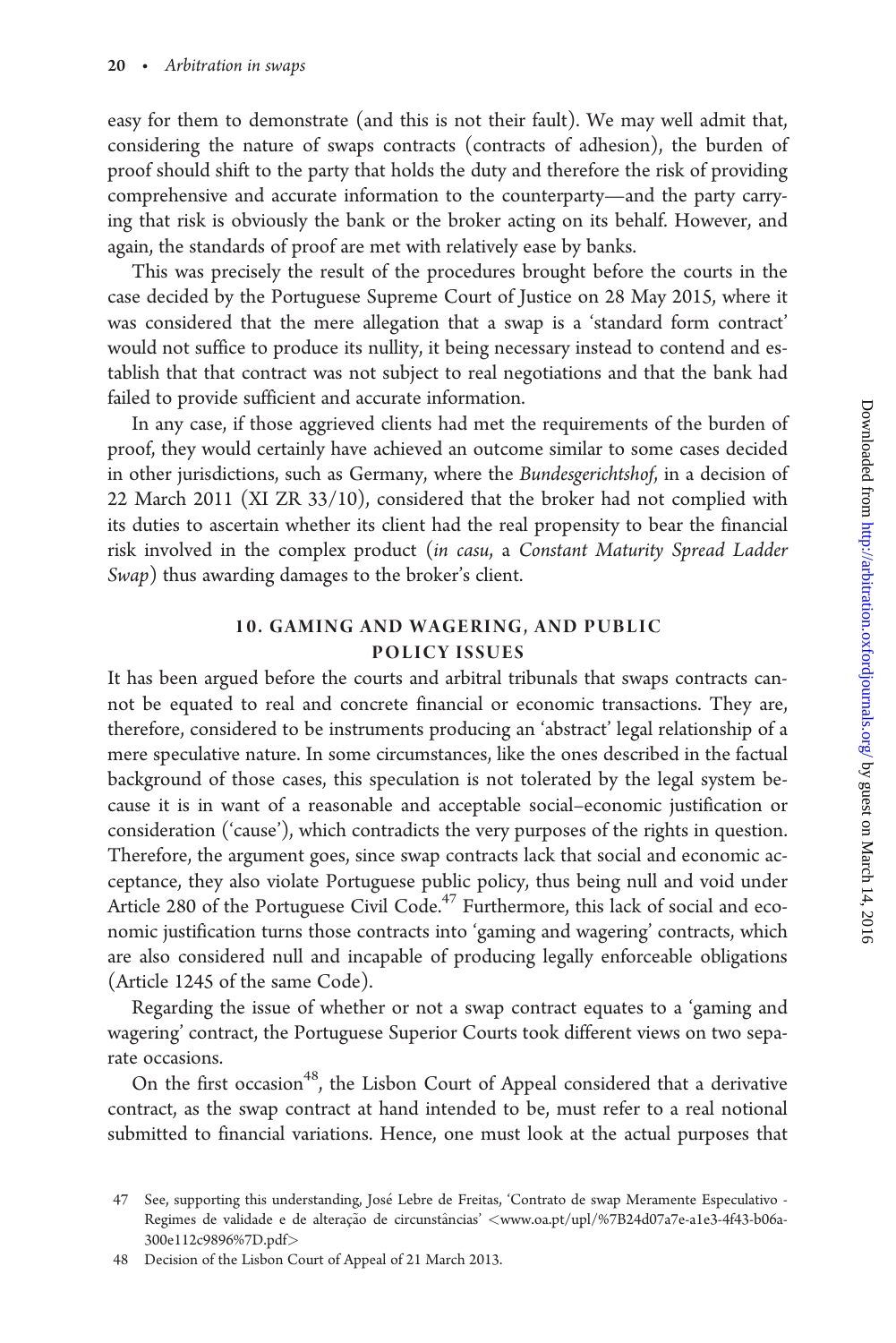easy for them to demonstrate (and this is not their fault). We may well admit that, considering the nature of swaps contracts (contracts of adhesion), the burden of proof should shift to the party that holds the duty and therefore the risk of providing comprehensive and accurate information to the counterparty—and the party carrying that risk is obviously the bank or the broker acting on its behalf. However, and again, the standards of proof are met with relatively ease by banks.

This was precisely the result of the procedures brought before the courts in the case decided by the Portuguese Supreme Court of Justice on 28 May 2015, where it was considered that the mere allegation that a swap is a 'standard form contract' would not suffice to produce its nullity, it being necessary instead to contend and establish that that contract was not subject to real negotiations and that the bank had failed to provide sufficient and accurate information.

In any case, if those aggrieved clients had met the requirements of the burden of proof, they would certainly have achieved an outcome similar to some cases decided in other jurisdictions, such as Germany, where the Bundesgerichtshof, in a decision of 22 March 2011 (XI ZR 33/10), considered that the broker had not complied with its duties to ascertain whether its client had the real propensity to bear the financial risk involved in the complex product (in casu, a Constant Maturity Spread Ladder Swap) thus awarding damages to the broker's client.

# 10. GAMING AND WAGERING, AND PUBLIC POLICY ISSUES

It has been argued before the courts and arbitral tribunals that swaps contracts cannot be equated to real and concrete financial or economic transactions. They are, therefore, considered to be instruments producing an 'abstract' legal relationship of a mere speculative nature. In some circumstances, like the ones described in the factual background of those cases, this speculation is not tolerated by the legal system because it is in want of a reasonable and acceptable social–economic justification or consideration ('cause'), which contradicts the very purposes of the rights in question. Therefore, the argument goes, since swap contracts lack that social and economic acceptance, they also violate Portuguese public policy, thus being null and void under Article 280 of the Portuguese Civil Code.<sup>47</sup> Furthermore, this lack of social and economic justification turns those contracts into 'gaming and wagering' contracts, which are also considered null and incapable of producing legally enforceable obligations (Article 1245 of the same Code).

Regarding the issue of whether or not a swap contract equates to a 'gaming and wagering' contract, the Portuguese Superior Courts took different views on two separate occasions.

On the first occasion<sup>48</sup>, the Lisbon Court of Appeal considered that a derivative contract, as the swap contract at hand intended to be, must refer to a real notional submitted to financial variations. Hence, one must look at the actual purposes that

48 Decision of the Lisbon Court of Appeal of 21 March 2013.

<sup>47</sup> See, supporting this understanding, José Lebre de Freitas, 'Contrato de swap Meramente Especulativo Regimes de validade e de alteração de circunstâncias' <[www.oa.pt/upl/%7B24d07a7e-a1e3-4f43-b06a-](www.oa.pt/upl/%7B24d07a7e-a1e3-4f43-b06a-300e112c9896%7D.pdf)[300e112c9896](www.oa.pt/upl/%7B24d07a7e-a1e3-4f43-b06a-300e112c9896%7D.pdf)%[7D.pdf](www.oa.pt/upl/%7B24d07a7e-a1e3-4f43-b06a-300e112c9896%7D.pdf)>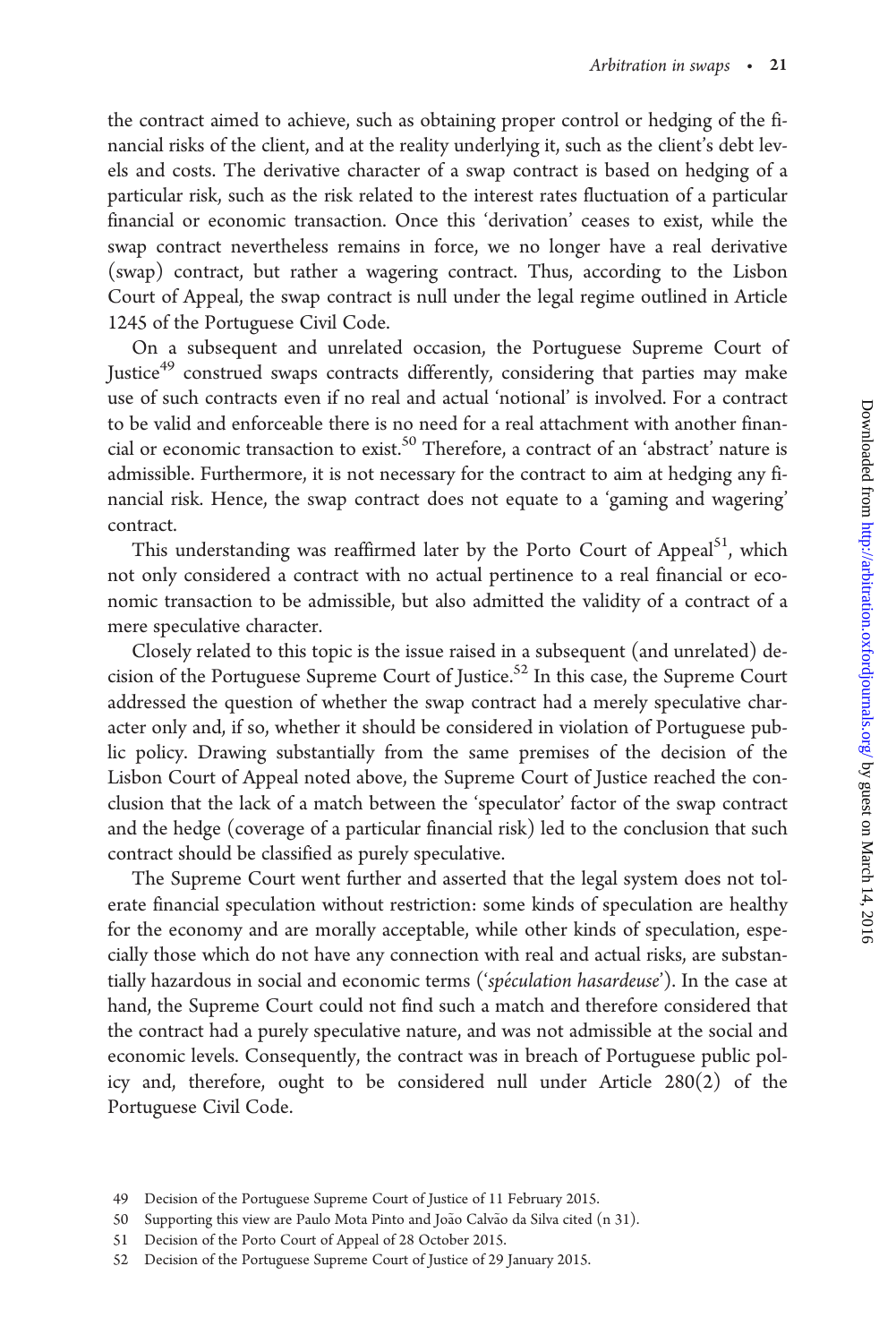the contract aimed to achieve, such as obtaining proper control or hedging of the financial risks of the client, and at the reality underlying it, such as the client's debt levels and costs. The derivative character of a swap contract is based on hedging of a particular risk, such as the risk related to the interest rates fluctuation of a particular financial or economic transaction. Once this 'derivation' ceases to exist, while the swap contract nevertheless remains in force, we no longer have a real derivative (swap) contract, but rather a wagering contract. Thus, according to the Lisbon Court of Appeal, the swap contract is null under the legal regime outlined in Article 1245 of the Portuguese Civil Code.

On a subsequent and unrelated occasion, the Portuguese Supreme Court of Justice<sup>49</sup> construed swaps contracts differently, considering that parties may make use of such contracts even if no real and actual 'notional' is involved. For a contract to be valid and enforceable there is no need for a real attachment with another financial or economic transaction to exist.<sup>50</sup> Therefore, a contract of an 'abstract' nature is admissible. Furthermore, it is not necessary for the contract to aim at hedging any financial risk. Hence, the swap contract does not equate to a 'gaming and wagering' contract.

This understanding was reaffirmed later by the Porto Court of Appeal<sup>51</sup>, which not only considered a contract with no actual pertinence to a real financial or economic transaction to be admissible, but also admitted the validity of a contract of a mere speculative character.

Closely related to this topic is the issue raised in a subsequent (and unrelated) decision of the Portuguese Supreme Court of Justice.<sup>52</sup> In this case, the Supreme Court addressed the question of whether the swap contract had a merely speculative character only and, if so, whether it should be considered in violation of Portuguese public policy. Drawing substantially from the same premises of the decision of the Lisbon Court of Appeal noted above, the Supreme Court of Justice reached the conclusion that the lack of a match between the 'speculator' factor of the swap contract and the hedge (coverage of a particular financial risk) led to the conclusion that such contract should be classified as purely speculative.

The Supreme Court went further and asserted that the legal system does not tolerate financial speculation without restriction: some kinds of speculation are healthy for the economy and are morally acceptable, while other kinds of speculation, especially those which do not have any connection with real and actual risks, are substantially hazardous in social and economic terms ('spéculation hasardeuse'). In the case at hand, the Supreme Court could not find such a match and therefore considered that the contract had a purely speculative nature, and was not admissible at the social and economic levels. Consequently, the contract was in breach of Portuguese public policy and, therefore, ought to be considered null under Article 280(2) of the Portuguese Civil Code.

<sup>49</sup> Decision of the Portuguese Supreme Court of Justice of 11 February 2015.

<sup>50</sup> Supporting this view are Paulo Mota Pinto and João Calvão da Silva cited (n 31).

<sup>51</sup> Decision of the Porto Court of Appeal of 28 October 2015.

<sup>52</sup> Decision of the Portuguese Supreme Court of Justice of 29 January 2015.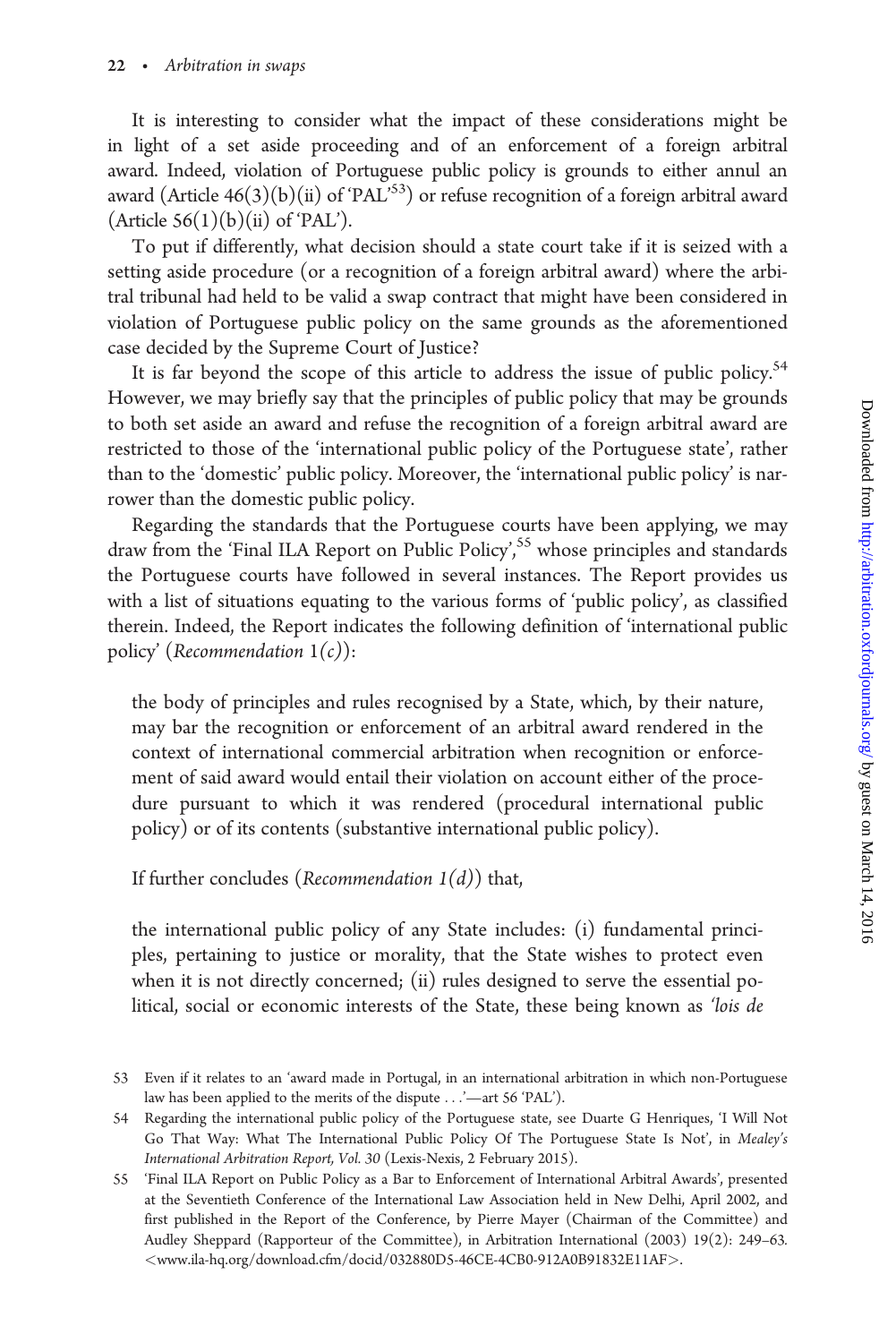It is interesting to consider what the impact of these considerations might be in light of a set aside proceeding and of an enforcement of a foreign arbitral award. Indeed, violation of Portuguese public policy is grounds to either annul an award (Article  $46(3)(b)(ii)$  of 'PAL'<sup>53</sup>) or refuse recognition of a foreign arbitral award (Article  $56(1)(b)(ii)$  of 'PAL').

To put if differently, what decision should a state court take if it is seized with a setting aside procedure (or a recognition of a foreign arbitral award) where the arbitral tribunal had held to be valid a swap contract that might have been considered in violation of Portuguese public policy on the same grounds as the aforementioned case decided by the Supreme Court of Justice?

It is far beyond the scope of this article to address the issue of public policy.<sup>54</sup> However, we may briefly say that the principles of public policy that may be grounds to both set aside an award and refuse the recognition of a foreign arbitral award are restricted to those of the 'international public policy of the Portuguese state', rather than to the 'domestic' public policy. Moreover, the 'international public policy' is narrower than the domestic public policy.

Regarding the standards that the Portuguese courts have been applying, we may draw from the 'Final ILA Report on Public Policy',<sup>55</sup> whose principles and standards the Portuguese courts have followed in several instances. The Report provides us with a list of situations equating to the various forms of 'public policy', as classified therein. Indeed, the Report indicates the following definition of 'international public policy' (Recommendation  $1(c)$ ):

the body of principles and rules recognised by a State, which, by their nature, may bar the recognition or enforcement of an arbitral award rendered in the context of international commercial arbitration when recognition or enforcement of said award would entail their violation on account either of the procedure pursuant to which it was rendered (procedural international public policy) or of its contents (substantive international public policy).

If further concludes (Recommendation  $1(d)$ ) that,

the international public policy of any State includes: (i) fundamental principles, pertaining to justice or morality, that the State wishes to protect even when it is not directly concerned; (ii) rules designed to serve the essential political, social or economic interests of the State, these being known as 'lois de

<sup>53</sup> Even if it relates to an 'award made in Portugal, in an international arbitration in which non-Portuguese law has been applied to the merits of the dispute ...'—art 56 'PAL').

<sup>54</sup> Regarding the international public policy of the Portuguese state, see Duarte G Henriques, 'I Will Not Go That Way: What The International Public Policy Of The Portuguese State Is Not', in Mealey's International Arbitration Report, Vol. 30 (Lexis-Nexis, 2 February 2015).

<sup>55 &#</sup>x27;Final ILA Report on Public Policy as a Bar to Enforcement of International Arbitral Awards', presented at the Seventieth Conference of the International Law Association held in New Delhi, April 2002, and first published in the Report of the Conference, by Pierre Mayer (Chairman of the Committee) and Audley Sheppard (Rapporteur of the Committee), in Arbitration International (2003) 19(2): 249–63. <<www.ila-hq.org/download.cfm/docid/032880D5-46CE-4CB0-912A0B91832E11AF>>.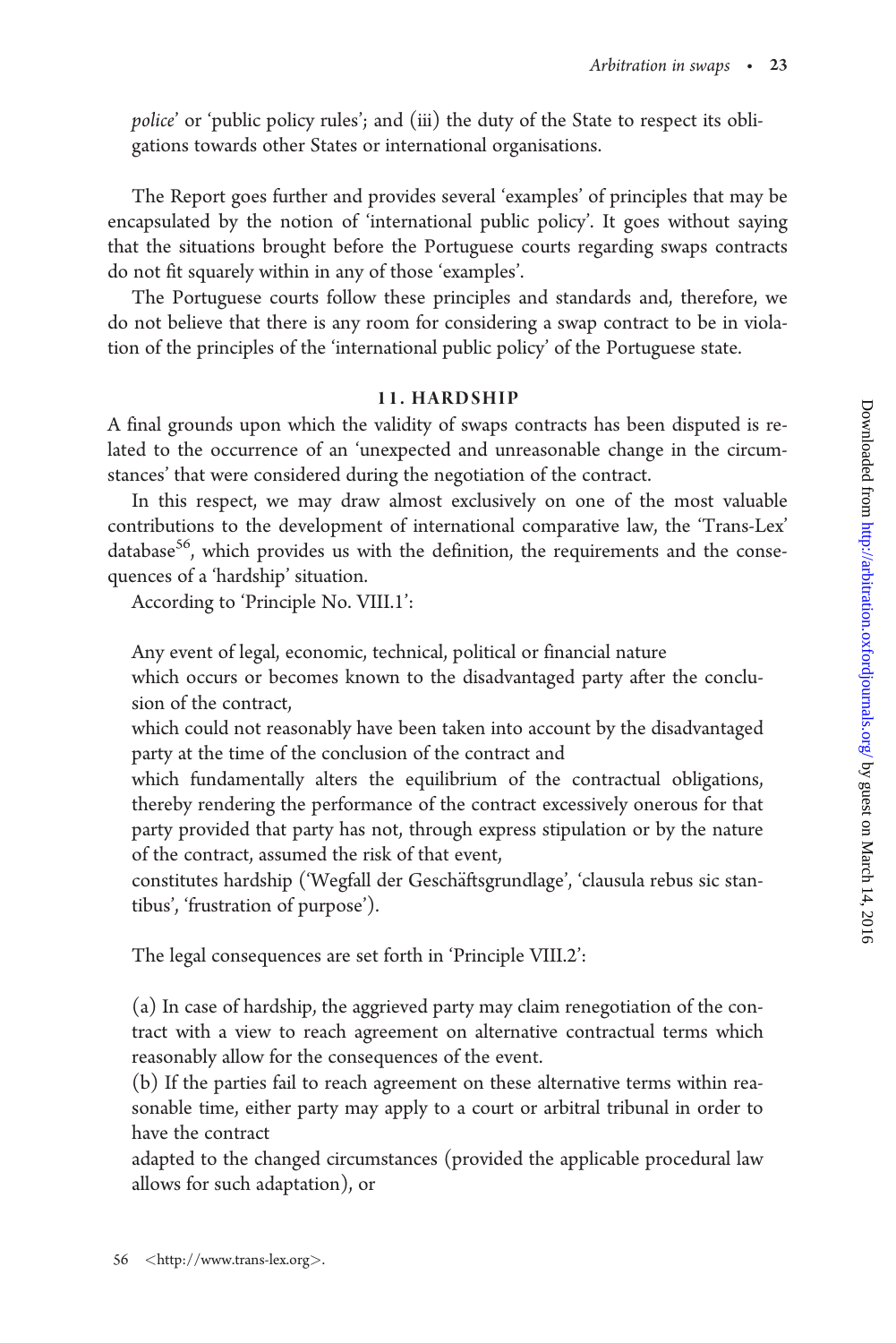police' or 'public policy rules'; and (iii) the duty of the State to respect its obligations towards other States or international organisations.

The Report goes further and provides several 'examples' of principles that may be encapsulated by the notion of 'international public policy'. It goes without saying that the situations brought before the Portuguese courts regarding swaps contracts do not fit squarely within in any of those 'examples'.

The Portuguese courts follow these principles and standards and, therefore, we do not believe that there is any room for considering a swap contract to be in violation of the principles of the 'international public policy' of the Portuguese state.

# 11. HARDSHIP

A final grounds upon which the validity of swaps contracts has been disputed is related to the occurrence of an 'unexpected and unreasonable change in the circumstances' that were considered during the negotiation of the contract.

In this respect, we may draw almost exclusively on one of the most valuable contributions to the development of international comparative law, the 'Trans-Lex' database $56$ , which provides us with the definition, the requirements and the consequences of a 'hardship' situation.

According to 'Principle No. VIII.1':

Any event of legal, economic, technical, political or financial nature

which occurs or becomes known to the disadvantaged party after the conclusion of the contract,

which could not reasonably have been taken into account by the disadvantaged party at the time of the conclusion of the contract and

which fundamentally alters the equilibrium of the contractual obligations, thereby rendering the performance of the contract excessively onerous for that party provided that party has not, through express stipulation or by the nature of the contract, assumed the risk of that event,

constitutes hardship ('Wegfall der Geschäftsgrundlage', 'clausula rebus sic stantibus', 'frustration of purpose').

The legal consequences are set forth in 'Principle VIII.2':

(a) In case of hardship, the aggrieved party may claim renegotiation of the contract with a view to reach agreement on alternative contractual terms which reasonably allow for the consequences of the event.

(b) If the parties fail to reach agreement on these alternative terms within reasonable time, either party may apply to a court or arbitral tribunal in order to have the contract

adapted to the changed circumstances (provided the applicable procedural law allows for such adaptation), or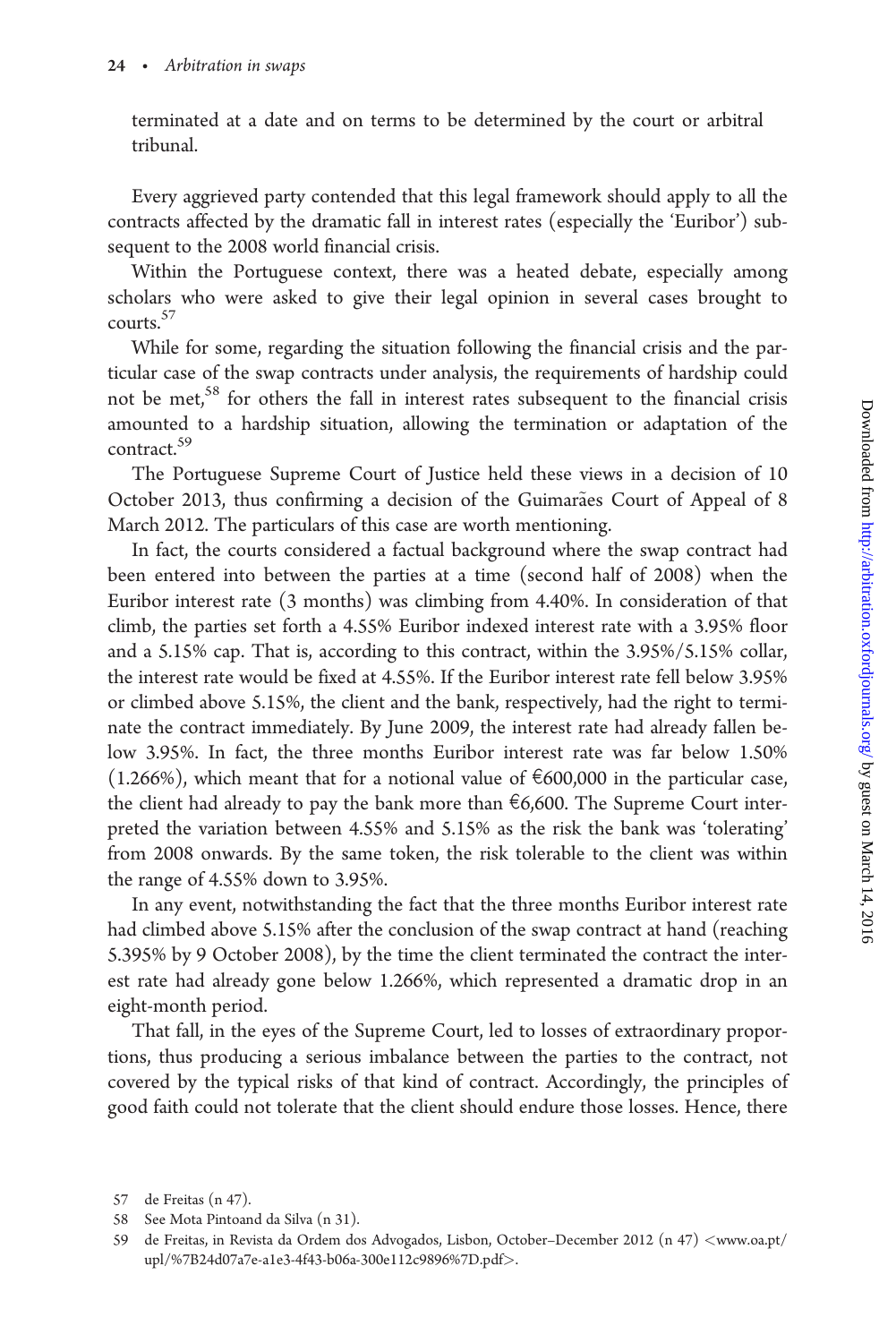terminated at a date and on terms to be determined by the court or arbitral tribunal.

Every aggrieved party contended that this legal framework should apply to all the contracts affected by the dramatic fall in interest rates (especially the 'Euribor') subsequent to the 2008 world financial crisis.

Within the Portuguese context, there was a heated debate, especially among scholars who were asked to give their legal opinion in several cases brought to courts.<sup>57</sup>

While for some, regarding the situation following the financial crisis and the particular case of the swap contracts under analysis, the requirements of hardship could not be met,<sup>58</sup> for others the fall in interest rates subsequent to the financial crisis amounted to a hardship situation, allowing the termination or adaptation of the contract.<sup>59</sup>

The Portuguese Supreme Court of Justice held these views in a decision of 10 October 2013, thus confirming a decision of the Guimarães Court of Appeal of 8 March 2012. The particulars of this case are worth mentioning.

In fact, the courts considered a factual background where the swap contract had been entered into between the parties at a time (second half of 2008) when the Euribor interest rate (3 months) was climbing from 4.40%. In consideration of that climb, the parties set forth a 4.55% Euribor indexed interest rate with a 3.95% floor and a 5.15% cap. That is, according to this contract, within the 3.95%/5.15% collar, the interest rate would be fixed at 4.55%. If the Euribor interest rate fell below 3.95% or climbed above 5.15%, the client and the bank, respectively, had the right to terminate the contract immediately. By June 2009, the interest rate had already fallen below 3.95%. In fact, the three months Euribor interest rate was far below 1.50%  $(1.266%)$ , which meant that for a notional value of  $\epsilon$ 600,000 in the particular case, the client had already to pay the bank more than  $\epsilon$ 6,600. The Supreme Court interpreted the variation between 4.55% and 5.15% as the risk the bank was 'tolerating' from 2008 onwards. By the same token, the risk tolerable to the client was within the range of 4.55% down to 3.95%.

In any event, notwithstanding the fact that the three months Euribor interest rate had climbed above 5.15% after the conclusion of the swap contract at hand (reaching 5.395% by 9 October 2008), by the time the client terminated the contract the interest rate had already gone below 1.266%, which represented a dramatic drop in an eight-month period.

That fall, in the eyes of the Supreme Court, led to losses of extraordinary proportions, thus producing a serious imbalance between the parties to the contract, not covered by the typical risks of that kind of contract. Accordingly, the principles of good faith could not tolerate that the client should endure those losses. Hence, there

<sup>57</sup> de Freitas (n 47).

<sup>58</sup> See Mota Pintoand da Silva (n 31).

<sup>59</sup> de Freitas, in Revista da Ordem dos Advogados, Lisbon, October–December 2012 (n 47) <[www.oa.pt/](www.oa.pt/upl/%7B24d07a7e-a1e3-4f43-b06a-300e112c9896%7D.pdf) [upl/%7B24d07a7e-a1e3-4f43-b06a-300e112c9896%7D.pdf](www.oa.pt/upl/%7B24d07a7e-a1e3-4f43-b06a-300e112c9896%7D.pdf)>.